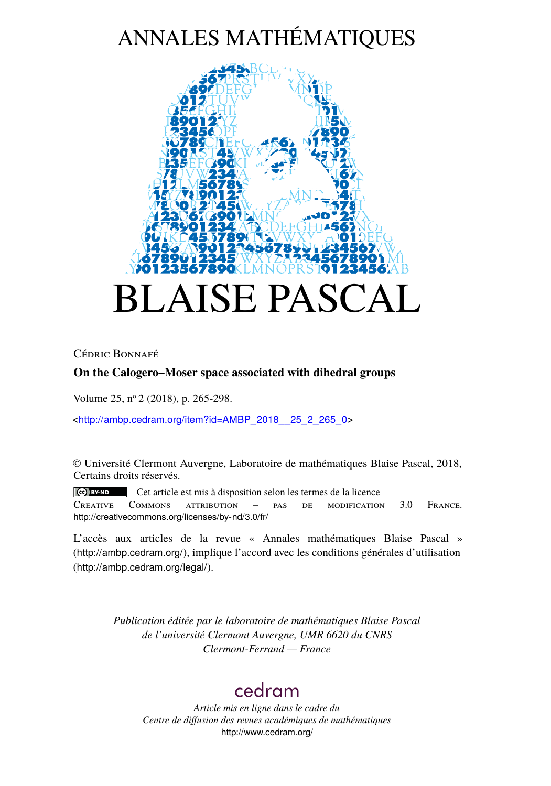# ANNALES MATHÉMATIQUES



## Cédric Bonnafé

## **On the Calogero–Moser space associated with dihedral groups**

Volume 25, n<sup>o</sup> 2 (2018), p. 265-298.

<[http://ambp.cedram.org/item?id=AMBP\\_2018\\_\\_25\\_2\\_265\\_0](http://ambp.cedram.org/item?id=AMBP_2018__25_2_265_0)>

© Université Clermont Auvergne, Laboratoire de mathématiques Blaise Pascal, 2018, Certains droits réservés.

Cet article est mis à disposition selon les termes de la licence Creative Commons attribution – pas de modification 3.0 France. <http://creativecommons.org/licenses/by-nd/3.0/fr/>

L'accès aux articles de la revue « Annales mathématiques Blaise Pascal » (<http://ambp.cedram.org/>), implique l'accord avec les conditions générales d'utilisation (<http://ambp.cedram.org/legal/>).

> *Publication éditée par le laboratoire de mathématiques Blaise Pascal de l'université Clermont Auvergne, UMR 6620 du CNRS Clermont-Ferrand — France*

## [cedram](http://www.cedram.org/)

*Article mis en ligne dans le cadre du Centre de diffusion des revues académiques de mathématiques* <http://www.cedram.org/>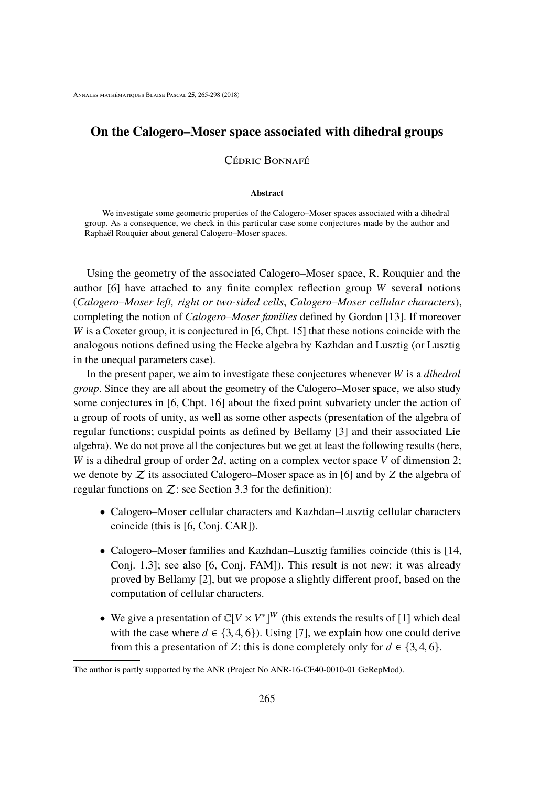## **On the Calogero–Moser space associated with dihedral groups**

#### Cédric Bonnafé

#### **Abstract**

We investigate some geometric properties of the Calogero–Moser spaces associated with a dihedral group. As a consequence, we check in this particular case some conjectures made by the author and Raphaël Rouquier about general Calogero–Moser spaces.

Using the geometry of the associated Calogero–Moser space, R. Rouquier and the author [\[6\]](#page-33-0) have attached to any finite complex reflection group *W* several notions (*Calogero–Moser left, right or two-sided cells*, *Calogero–Moser cellular characters*), completing the notion of *Calogero–Moser families* defined by Gordon [\[13\]](#page-34-0). If moreover *W* is a Coxeter group, it is conjectured in [\[6,](#page-33-0) Chpt. 15] that these notions coincide with the analogous notions defined using the Hecke algebra by Kazhdan and Lusztig (or Lusztig in the unequal parameters case).

In the present paper, we aim to investigate these conjectures whenever *W* is a *dihedral group*. Since they are all about the geometry of the Calogero–Moser space, we also study some conjectures in [\[6,](#page-33-0) Chpt. 16] about the fixed point subvariety under the action of a group of roots of unity, as well as some other aspects (presentation of the algebra of regular functions; cuspidal points as defined by Bellamy [\[3\]](#page-33-1) and their associated Lie algebra). We do not prove all the conjectures but we get at least the following results (here, *W* is a dihedral group of order 2*d*, acting on a complex vector space *V* of dimension 2; we denote by Z its associated Calogero–Moser space as in [\[6\]](#page-33-0) and by *Z* the algebra of regular functions on  $Z$ : see Section [3.3](#page-12-0) for the definition):

- Calogero–Moser cellular characters and Kazhdan–Lusztig cellular characters coincide (this is [\[6,](#page-33-0) Conj. CAR]).
- Calogero–Moser families and Kazhdan–Lusztig families coincide (this is [\[14,](#page-34-1) Conj. 1.3]; see also [\[6,](#page-33-0) Conj. FAM]). This result is not new: it was already proved by Bellamy [\[2\]](#page-33-2), but we propose a slightly different proof, based on the computation of cellular characters.
- We give a presentation of  $\mathbb{C}[V \times V^*]^W$  (this extends the results of [\[1\]](#page-33-3) which deal with the case where  $d \in \{3, 4, 6\}$ . Using [\[7\]](#page-33-4), we explain how one could derive from this a presentation of *Z*: this is done completely only for  $d \in \{3, 4, 6\}$ .

The author is partly supported by the ANR (Project No ANR-16-CE40-0010-01 GeRepMod).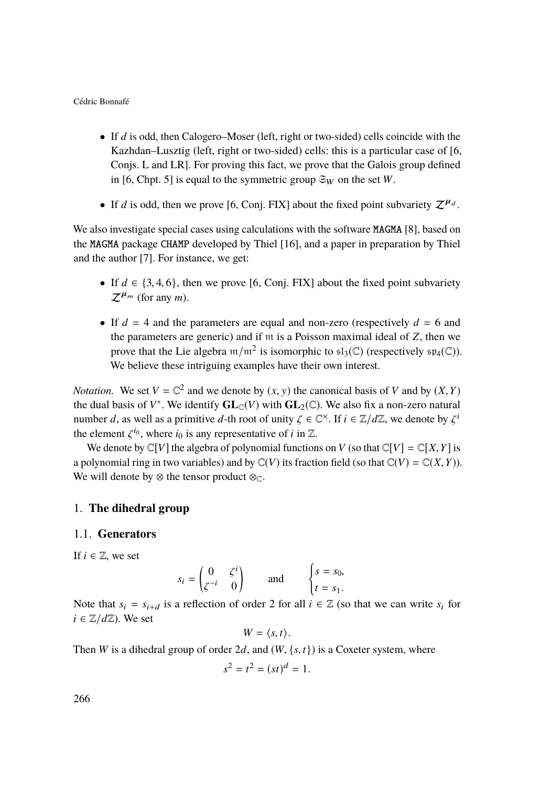- If *d* is odd, then Calogero–Moser (left, right or two-sided) cells coincide with the Kazhdan–Lusztig (left, right or two-sided) cells: this is a particular case of [\[6,](#page-33-0) Conjs. L and LR]. For proving this fact, we prove that the Galois group defined in [\[6,](#page-33-0) Chpt. 5] is equal to the symmetric group  $\mathfrak{S}_W$  on the set *W*.
- If *d* is odd, then we prove [\[6,](#page-33-0) Conj. FIX] about the fixed point subvariety  $\mathcal{Z}^{\mu_d}$ .

We also investigate special cases using calculations with the software MAGMA [\[8\]](#page-33-5), based on the MAGMA package CHAMP developed by Thiel [\[16\]](#page-34-2), and a paper in preparation by Thiel and the author [\[7\]](#page-33-4). For instance, we get:

- If  $d \in \{3, 4, 6\}$ , then we prove [\[6,](#page-33-0) Conj. FIX] about the fixed point subvariety  $\mathcal{Z}^{\mu_m}$  (for any *m*).
- If  $d = 4$  and the parameters are equal and non-zero (respectively  $d = 6$  and the parameters are generic) and if m is a Poisson maximal ideal of *Z*, then we prove that the Lie algebra  $m/m^2$  is isomorphic to  $\mathfrak{sl}_3(\mathbb{C})$  (respectively  $\mathfrak{sp}_4(\mathbb{C})$ ). We believe these intriguing examples have their own interest.

*Notation.* We set  $V = \mathbb{C}^2$  and we denote by  $(x, y)$  the canonical basis of *V* and by  $(X, Y)$  the dual basis of  $V^*$ . We identify  $\mathbf{C} \mathbf{I}_{\infty}(V)$  with  $\mathbf{C} \mathbf{I}_{\infty}(\mathbb{C})$ . We also fix a non-zero notural the dual basis of  $V^*$ . We identify  $\mathbf{GL}_{\mathbb{C}}(V)$  with  $\mathbf{GL}_2(\mathbb{C})$ . We also fix a non-zero natural number *d*, as well as a primitive *d*-th root of unity  $\zeta \in \mathbb{C}^{\times}$ . If  $i \in \mathbb{Z}/d\mathbb{Z}$ , we denote by  $\zeta^i$  the element  $\zeta^{i_0}$  where *i*, is ony representative of *i* in  $\mathbb{Z}$ the element  $\zeta^{i_0}$ , where  $i_0$  is any representative of *i* in  $\mathbb{Z}$ .<br>We denote by CIVI the algebra of polynomial function

We denote by  $\mathbb{C}[V]$  the algebra of polynomial functions on *V* (so that  $\mathbb{C}[V] = \mathbb{C}[X, Y]$  is a polynomial ring in two variables) and by  $\mathbb{C}(V)$  its fraction field (so that  $\mathbb{C}(V) = \mathbb{C}(X,Y)$ ). We will denote by  $\otimes$  the tensor product  $\otimes_{\mathbb{C}}$ .

#### 1. **The dihedral group**

#### <span id="page-2-0"></span>1.1. **Generators**

If  $i \in \mathbb{Z}$ , we set

$$
s_i = \begin{pmatrix} 0 & \zeta^i \\ \zeta^{-i} & 0 \end{pmatrix} \quad \text{and} \quad \begin{cases} s = s_0, \\ t = s_1. \end{cases}
$$

Note that  $s_i = s_{i+d}$  is a reflection of order 2 for all  $i \in \mathbb{Z}$  (so that we can write  $s_i$  for  $i \in \mathbb{Z}/d\mathbb{Z}$ ). We set

$$
W = \langle s, t \rangle.
$$

Then *W* is a dihedral group of order 2*d*, and  $(W, \{s, t\})$  is a Coxeter system, where

$$
s^2 = t^2 = (st)^d = 1.
$$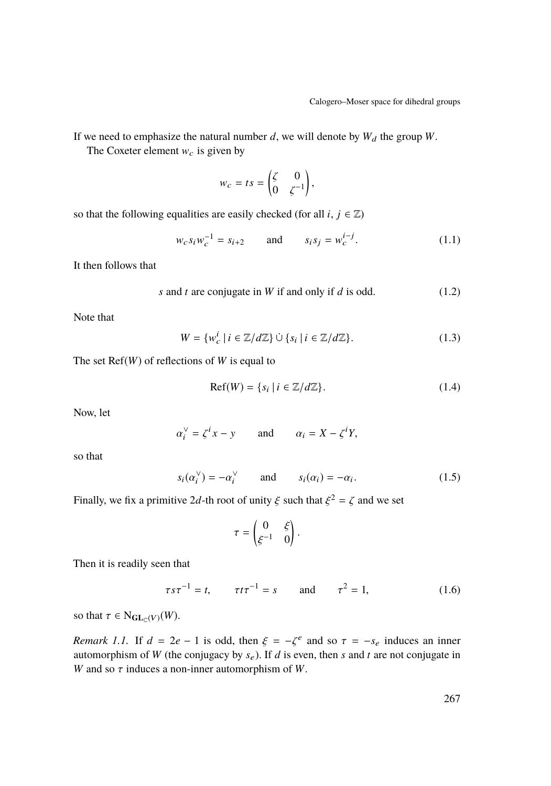If we need to emphasize the natural number  $d$ , we will denote by  $W_d$  the group  $W$ .

The Coxeter element  $w_c$  is given by

$$
w_c = ts = \begin{pmatrix} \zeta & 0 \\ 0 & \zeta^{-1} \end{pmatrix},
$$

so that the following equalities are easily checked (for all *i*,  $j \in \mathbb{Z}$ )

<span id="page-3-0"></span>
$$
w_c s_i w_c^{-1} = s_{i+2} \qquad \text{and} \qquad s_i s_j = w_c^{i-j}.
$$
 (1.1)

It then follows that

<span id="page-3-1"></span>
$$
s
$$
 and  $t$  are conjugate in  $W$  if and only if  $d$  is odd.  $(1.2)$ 

Note that

$$
W = \{w_c^i \mid i \in \mathbb{Z}/d\mathbb{Z}\} \cup \{s_i \mid i \in \mathbb{Z}/d\mathbb{Z}\}.
$$
 (1.3)

The set Ref(*W*) of reflections of *W* is equal to

$$
Ref(W) = \{s_i \mid i \in \mathbb{Z}/d\mathbb{Z}\}.
$$
 (1.4)

Now, let

$$
\alpha_i^{\vee} = \zeta^i x - y \qquad \text{and} \qquad \alpha_i = X - \zeta^i Y,
$$

so that

$$
s_i(\alpha_i^{\vee}) = -\alpha_i^{\vee} \qquad \text{and} \qquad s_i(\alpha_i) = -\alpha_i. \tag{1.5}
$$

Finally, we fix a primitive 2d-th root of unity  $\xi$  such that  $\xi^2 = \zeta$  and we set

$$
\tau = \begin{pmatrix} 0 & \xi \\ \xi^{-1} & 0 \end{pmatrix}.
$$

Then it is readily seen that

<span id="page-3-2"></span>
$$
\tau s \tau^{-1} = t
$$
,  $\tau t \tau^{-1} = s$  and  $\tau^2 = 1$ , (1.6)

so that  $\tau \in N_{\mathbf{GL}_{\mathbb{C}}(V)}(W)$ .

*Remark 1.1.* If  $d = 2e - 1$  is odd, then  $\xi = -\zeta^e$  and so  $\tau = -s_e$  induces an inner automorphism of W (the conjugacy by s). If d is even then s and t are not conjugate in automorphism of *W* (the conjugacy by  $s_e$ ). If *d* is even, then *s* and *t* are not conjugate in *W* and so  $\tau$  induces a non-inner automorphism of *W*.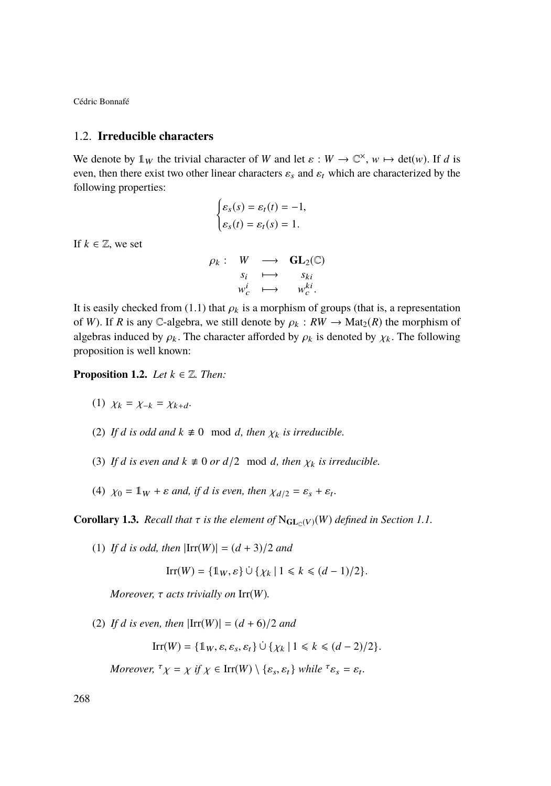#### 1.2. **Irreducible characters**

We denote by  $\mathbb{1}_W$  the trivial character of *W* and let  $\varepsilon : W \to \mathbb{C}^\times$ ,  $w \mapsto \det(w)$ . If *d* is even, then there exist two other linear characters  $\varepsilon_s$  and  $\varepsilon_t$  which are characterized by the following properties:

$$
\begin{cases} \varepsilon_s(s) = \varepsilon_t(t) = -1, \\ \varepsilon_s(t) = \varepsilon_t(s) = 1. \end{cases}
$$

If  $k \in \mathbb{Z}$ , we set

$$
\rho_k: \begin{array}{ccc} W & \longrightarrow & \mathbf{GL}_2(\mathbb{C}) \\ s_i & \longmapsto & s_{ki} \\ w_c^i & \longmapsto & w_c^{ki} .\end{array}
$$

It is easily checked from [\(1.1\)](#page-3-0) that  $\rho_k$  is a morphism of groups (that is, a representation of  $W$ ). If  $P$  is any  $C$  algebra, we still denote by  $\rho_k \cdot PW \rightarrow Mat(P)$  the morphism of of *W*). If *R* is any C-algebra, we still denote by  $\rho_k : RW \to Mat_2(R)$  the morphism of algebras induced by  $\rho_k$ . The character afforded by  $\rho_k$  is denoted by  $\chi_k$ . The following proposition is well known:

**Proposition 1.2.** *Let*  $k \in \mathbb{Z}$ *. Then:* 

- (1)  $\chi_k = \chi_{-k} = \chi_{k+d}$ .
- (2) If *d* is odd and  $k \neq 0 \mod d$ , then  $\chi_k$  is irreducible.
- (3) If *d* is even and  $k \neq 0$  or  $d/2 \mod d$ , then  $\chi_k$  is irreducible.
- (4)  $\chi_0 = \mathbb{1}_W + \varepsilon$  *and, if d is even, then*  $\chi_{d/2} = \varepsilon_s + \varepsilon_t$ .

**Corollary 1.3.** *Recall that*  $\tau$  *is the element of*  $N_{\text{GL}_\mathbb{C}(V)}(W)$  *defined in Section [1.1.](#page-2-0)* 

(1) *If d is odd, then*  $|\text{Irr}(W)| = (d + 3)/2$  *and* 

$$
\operatorname{Irr}(W) = \{ \mathbb{1}_W, \varepsilon \} \cup \{ \chi_k \mid 1 \leq k \leq (d-1)/2 \}.
$$

*Moreover,* τ *acts trivially on* Irr(*W*)*.*

(2) *If d is even, then*  $|Irr(W)| = (d + 6)/2$  *and* 

 $\text{Irr}(W) = \{1_W, \varepsilon, \varepsilon_s, \varepsilon_t\} \cup \{\chi_k \mid 1 \leq k \leq (d-2)/2\}.$ 

*Moreover,*  ${}^{\tau} \chi = \chi$  *if*  $\chi \in \text{Irr}(W) \setminus {\{\varepsilon_s, \varepsilon_t\}}$  *while*  ${}^{\tau} \varepsilon_s = \varepsilon_t$ *.*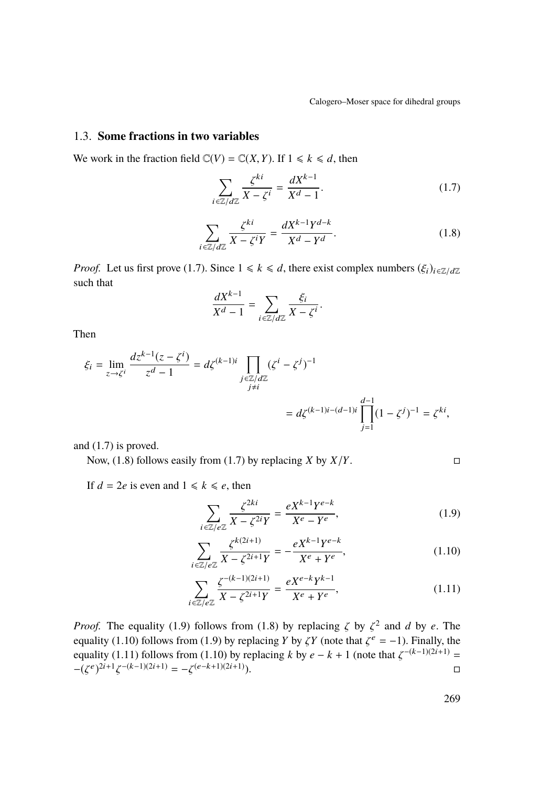## 1.3. **Some fractions in two variables**

We work in the fraction field  $\mathbb{C}(V) = \mathbb{C}(X, Y)$ . If  $1 \le k \le d$ , then

<span id="page-5-0"></span>
$$
\sum_{i \in \mathbb{Z}/d\mathbb{Z}} \frac{\zeta^{ki}}{X - \zeta^i} = \frac{dX^{k-1}}{X^d - 1}.
$$
\n(1.7)

<span id="page-5-1"></span>
$$
\sum_{i \in \mathbb{Z}/d\mathbb{Z}} \frac{\zeta^{ki}}{X - \zeta^i Y} = \frac{dX^{k-1}Y^{d-k}}{X^d - Y^d}.
$$
\n(1.8)

*Proof.* Let us first prove [\(1.7\)](#page-5-0). Since  $1 \le k \le d$ , there exist complex numbers  $(\xi_i)_{i \in \mathbb{Z}/d\mathbb{Z}}$ such that

$$
\frac{dX^{k-1}}{X^d-1} = \sum_{i \in \mathbb{Z}/d\mathbb{Z}} \frac{\xi_i}{X - \zeta^i}.
$$

Then

$$
\xi_i = \lim_{z \to \zeta^i} \frac{dz^{k-1}(z - \zeta^i)}{z^d - 1} = d\zeta^{(k-1)i} \prod_{\substack{j \in \mathbb{Z}/d\mathbb{Z} \\ j \neq i}} (\zeta^i - \zeta^j)^{-1}
$$

$$
= d\zeta^{(k-1)i - (d-1)i} \prod_{j=1}^{d-1} (1 - \zeta^j)^{-1} = \zeta^{ki},
$$

and [\(1.7\)](#page-5-0) is proved.

Now, [\(1.8\)](#page-5-1) follows easily from [\(1.7\)](#page-5-0) by replacing *X* by  $X/Y$ .

If  $d = 2e$  is even and  $1 \le k \le e$ , then

<span id="page-5-3"></span><span id="page-5-2"></span>
$$
\sum_{i \in \mathbb{Z}/e\mathbb{Z}} \frac{\zeta^{2ki}}{X - \zeta^{2i}Y} = \frac{eX^{k-1}Y^{e-k}}{X^e - Y^e},\tag{1.9}
$$

$$
\sum_{i \in \mathbb{Z}/e\mathbb{Z}} \frac{\zeta^{k(2i+1)}}{X - \zeta^{2i+1}Y} = -\frac{eX^{k-1}Y^{e-k}}{X^e + Y^e},\tag{1.10}
$$

<span id="page-5-4"></span>
$$
\sum_{i \in \mathbb{Z}/e\mathbb{Z}} \frac{\zeta^{-(k-1)(2i+1)}}{X - \zeta^{2i+1}Y} = \frac{eX^{e-k}Y^{k-1}}{X^e + Y^e},\tag{1.11}
$$

*Proof.* The equality [\(1.9\)](#page-5-2) follows from [\(1.8\)](#page-5-1) by replacing  $\zeta$  by  $\zeta^2$  and *d* by *e*. The equality (1.10) follows from (1.0) by replacing *V* by *KV* (note that  $\zeta^e = -1$ ). Finally the equality [\(1.10\)](#page-5-3) follows from [\(1.9\)](#page-5-2) by replacing *Y* by  $\zeta Y$  (note that  $\zeta$ <br>equality (1.11) follows from (1.10) by replacing *k* by  $\zeta$ ,  $k+1$  (not equality (1.10) follows from (1.9) by replacing Y by  $\zeta Y$  (note that  $\zeta^e = -1$ ). Finally, the equality [\(1.11\)](#page-5-4) follows from [\(1.10\)](#page-5-3) by replacing *k* by  $e - k + 1$  (note that  $\zeta^{-(k-1)(2i+1)} =$ <br>  $\zeta^{(e-k+1)(2i+1)} = \zeta^{(e-k+1)(2i+1)}$  $-(\zeta^e)^{2i+1}$  $\zeta^{-(k-1)(2i+1)} = -\zeta^{(e-k+1)(2i+1)}$ .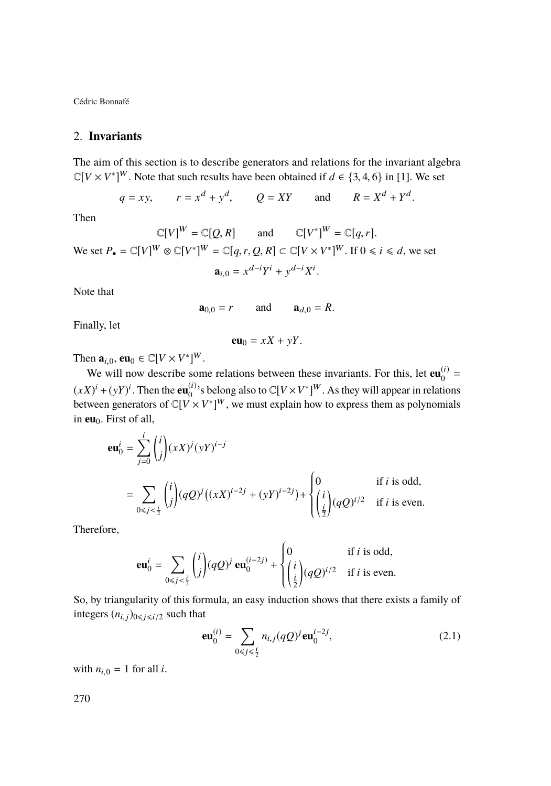## 2. **Invariants**

The aim of this section is to describe generators and relations for the invariant algebra  $\mathbb{C}[V \times V^*]^W$ . Note that such results have been obtained if  $d \in \{3, 4, 6\}$  in [\[1\]](#page-33-3). We set

$$
q = xy
$$
,  $r = xd + yd$ ,  $Q = XY$  and  $R = Xd + Yd$ .

Then

 $\mathbb{C}[V]^W = \mathbb{C}[Q, R]$  and  $\mathbb{C}[V^*]^W = \mathbb{C}[q, r].$ We set  $P_{\bullet} = \mathbb{C}[V]^W \otimes \mathbb{C}[V^*]^W = \mathbb{C}[q, r, Q, R] \subset \mathbb{C}[V \times V^*]^W$ . If  $0 \le i \le d$ , we set  $\mathbf{a}_{i,0} = x^{d-i}Y^i + y^{d-i}X^i$ 

Note that

$$
\mathbf{a}_{0,0}=r \qquad \text{and} \qquad \mathbf{a}_{d,0}=R.
$$

Finally, let

$$
\mathbf{eu}_0 = xX + yY.
$$

Then  $\mathbf{a}_{i,0}$ ,  $\mathbf{e}\mathbf{u}_0 \in \mathbb{C}[V \times V^*]^W$ .

We will now describe some relations between these invariants. For this, let  $\mathbf{eu}_0^{(i)}$  $\binom{u}{0}$  =  $(xX)^i + (yY)^i$ . Then the **eu**<sup>(i)</sup>s belong also to  $\mathbb{C}[V \times V^*]^W$ . As they will appear in relations between generators of  $\mathbb{C}[V \times V^*]^W$ , we must explain how to express them as polynomials in **eu**<sub>0</sub>. First of all,

$$
\mathbf{eu}_{0}^{i} = \sum_{j=0}^{i} {i \choose j} (xX)^{j} (yY)^{i-j}
$$
\n
$$
= \sum_{0 \le j < \frac{i}{2}} {i \choose j} (qQ)^{j} ((xX)^{i-2j} + (yY)^{i-2j}) + \begin{cases} 0 & \text{if } i \text{ is odd,} \\ {i \choose \frac{i}{2}} (qQ)^{i/2} & \text{if } i \text{ is even.} \end{cases}
$$

Therefore,

$$
\mathbf{eu}_0^i = \sum_{0 \le j < \frac{i}{2}} \binom{i}{j} (qQ)^j \mathbf{eu}_0^{(i-2j)} + \begin{cases} 0 & \text{if } i \text{ is odd,} \\ \left(\frac{i}{2}\right) (qQ)^{i/2} & \text{if } i \text{ is even.} \end{cases}
$$

 So, by triangularity of this formula, an easy induction shows that there exists a family of integers  $(n_{i,j})_{0\leq i\leq i/2}$  such that

<span id="page-6-0"></span>
$$
\mathbf{eu}_{0}^{(i)} = \sum_{0 \le j \le \frac{i}{2}} n_{i,j} (qQ)^{j} \mathbf{eu}_{0}^{i-2j}, \tag{2.1}
$$

with  $n_{i,0} = 1$  for all *i*.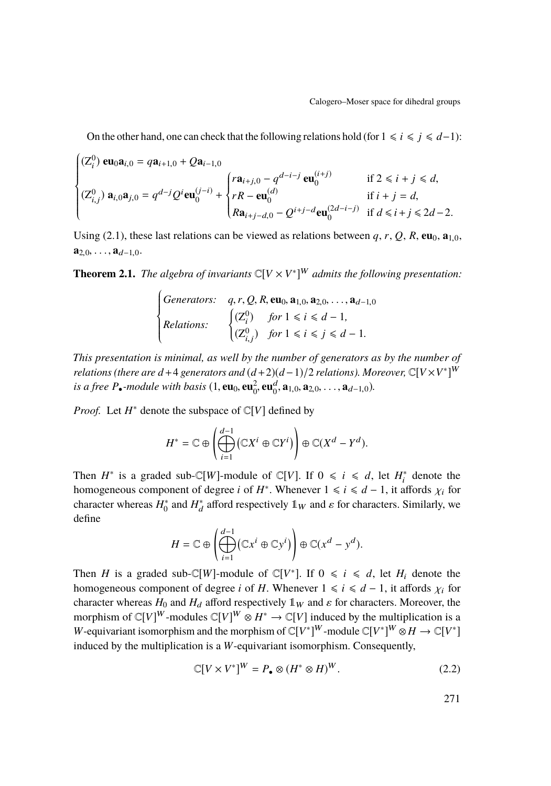On the other hand, one can check that the following relations hold (for  $1 \le i \le j \le d-1$ ):

$$
\begin{cases}\n(Z_i^0) \mathbf{eu}_0 \mathbf{a}_{i,0} = q \mathbf{a}_{i+1,0} + Q \mathbf{a}_{i-1,0} \\
(Z_{i,j}^0) \mathbf{a}_{i,0} \mathbf{a}_{j,0} = q^{d-j} Q^i \mathbf{eu}_0^{(j-i)} + \begin{cases}\n r \mathbf{a}_{i+j,0} - q^{d-i-j} \mathbf{eu}_0^{(i+j)} & \text{if } 2 \le i+j \le d, \\
 rR - \mathbf{eu}_0^{(d)} & \text{if } i+j=d, \\
 R \mathbf{a}_{i+j-d,0} - Q^{i+j-d} \mathbf{eu}_0^{(2d-i-j)} & \text{if } d \le i+j \le 2d-2.\n\end{cases}
$$

Using [\(2.1\)](#page-6-0), these last relations can be viewed as relations between  $q, r, Q, R$ ,  $\mathbf{eu}_0, \mathbf{a}_{1,0}$ ,  $a_{2,0}, \ldots, a_{d-1,0}.$ 

<span id="page-7-1"></span>**Theorem 2.1.** *The algebra of invariants*  $\mathbb{C}[V \times V^*]^W$  *admits the following presentation:* 

$$
\begin{cases}\n\text{Generators:} & q, r, Q, R, \text{eu}_0, \text{a}_{1,0}, \text{a}_{2,0}, \dots, \text{a}_{d-1,0} \\
\text{Relationship:} & \begin{cases}\n(Z_i^0) & \text{for } 1 \le i \le d-1, \\
(Z_{i,j}^0) & \text{for } 1 \le i \le j \le d-1.\n\end{cases}\n\end{cases}
$$

J. *This presentation is minimal, as well by the number of generators as by the number of relations (there are d* +4 generators and  $(d+2)(d-1)/2$  *relations). Moreover,*  $\mathbb{C}[V\times V^*]^W$ *is a free*  $P_{\bullet}$ -module with basis (1, **eu**<sub>0</sub>, **eu**<sub>0</sub><sup>2</sup>, **eu**<sub>0</sub><sup>d</sup>, **a**<sub>1,0</sub>, **a**<sub>2,0</sub>, . . . . , **a**<sub>d-1,0</sub>).

*Proof.* Let  $H^*$  denote the subspace of  $\mathbb{C}[V]$  defined by

$$
H^* = \mathbb{C} \oplus \left( \bigoplus_{i=1}^{d-1} (\mathbb{C} X^i \oplus \mathbb{C} Y^i) \right) \oplus \mathbb{C} (X^d - Y^d).
$$

Then  $H^*$  is a graded sub-C[*W*]-module of C[*V*]. If  $0 \le i \le d$ , let  $H_i^*$  denote the homogeneous component of degree *i* of *H*<sup>\*</sup>. Whenever  $1 \le i \le d - 1$ , it affords  $\chi_i$  for character whereas *H*<sup>\*</sup> and *H*<sup>\*</sup> afford respectively 1<sub>112</sub> and c for characters. Similarly, we character whereas  $H_0^*$  and  $H_d^*$  afford respectively  $\mathbb{1}_W$  and  $\varepsilon$  for characters. Similarly, we define define

$$
H = \mathbb{C} \oplus \left( \bigoplus_{i=1}^{d-1} (\mathbb{C} x^i \oplus \mathbb{C} y^i) \right) \oplus \mathbb{C} (x^d - y^d).
$$

Then *H* is a graded sub-C[*W*]-module of C[*V*<sup>\*</sup>]. If  $0 \le i \le d$ , let  $H_i$  denote the homogeneous component of degree *i* of *H*. Whenever  $1 \le i \le d - 1$ , it affords  $\chi_i$  for character whereas  $H_0$  and  $H_d$  afford respectively  $\mathbb{1}_W$  and  $\varepsilon$  for characters. Moreover, the morphism of  $\mathbb{C}[V]^W$ -modules  $\mathbb{C}[V]^W \otimes H^* \to \mathbb{C}[V]$  induced by the multiplication is a *W*-equivariant isomorphism and the morphism of  $\mathbb{C}[V^*]^W$ -module  $\mathbb{C}[V^*]^W \otimes H \to \mathbb{C}[V^*]$ induced by the multiplication is a *W*-equivariant isomorphism. Consequently,

<span id="page-7-0"></span>
$$
\mathbb{C}[V \times V^*]^W = P_{\bullet} \otimes (H^* \otimes H)^W. \tag{2.2}
$$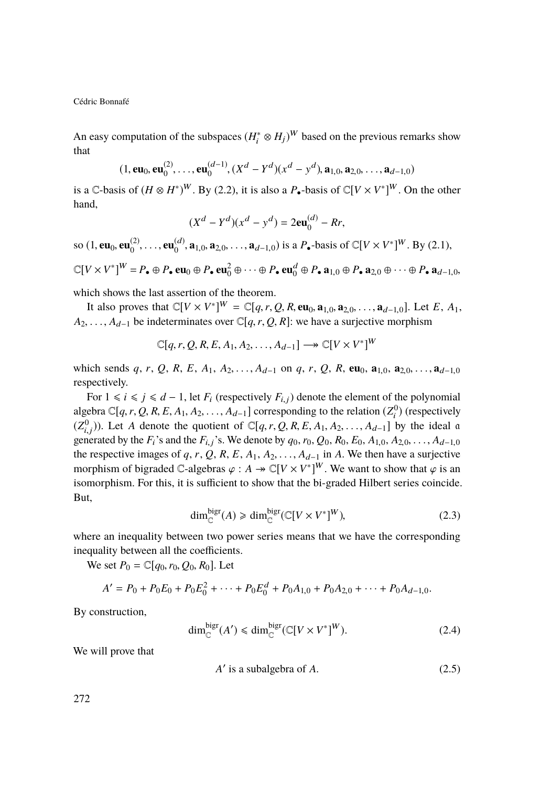An easy computation of the subspaces  $(H_i^* \otimes H_j)^W$  based on the previous remarks show that

$$
(1, \mathbf{eu}_0, \mathbf{eu}_0^{(2)}, \dots, \mathbf{eu}_0^{(d-1)}, (X^d - Y^d)(x^d - y^d), \mathbf{a}_{1,0}, \mathbf{a}_{2,0}, \dots, \mathbf{a}_{d-1,0})
$$

is a  $\mathbb{C}$ -basis of  $(H \otimes H^*)^W$ . By [\(2.2\)](#page-7-0), it is also a  $P_{\bullet}$ -basis of  $\mathbb{C}[V \times V^*]^W$ . On the other hand,

$$
(X^d - Y^d)(x^d - y^d) = 2eu_0^{(d)} - Rr,
$$

so (1, **eu**<sub>0</sub>, **eu**<sub>0</sub><sup>(2)</sup>  $\mathbf{e}_0^{(2)}, \ldots, \mathbf{e}_0^{(d)}$  $(a_0^{(d)}, \mathbf{a}_{1,0}, \mathbf{a}_{2,0}, \ldots, \mathbf{a}_{d-1,0})$  is a *P*•-basis of ℂ[*V* × *V*<sup>\*</sup>]<sup>*W*</sup>. By [\(2.1\)](#page-6-0),  $\mathbb{C}[V \times V^*]^W = P_{\bullet} \oplus P_{\bullet} \oplus \mathbf{eu}_0 \oplus P_{\bullet} \oplus \mathbf{eu}_0^2 \oplus \cdots \oplus P_{\bullet} \oplus \mathbf{eu}_0^d \oplus P_{\bullet} \mathbf{a}_{1,0} \oplus P_{\bullet} \mathbf{a}_{2,0} \oplus \cdots \oplus P_{\bullet} \mathbf{a}_{d-1,0}$ 

which shows the last assertion of the theorem.

It also proves that  $\mathbb{C}[V \times V^*]^W = \mathbb{C}[q, r, Q, R, \mathbf{eu}_0, \mathbf{a}_{1,0}, \mathbf{a}_{2,0}, \dots, \mathbf{a}_{d-1,0}]$ . Let *E*, *A*<sub>1</sub>,  $A_1$ ,  $A_2$ , be indeterminates over  $\mathbb{C}[q, r, Q, R]$ ; we have a surjective morphism  $A_2, \ldots, A_{d-1}$  be indeterminates over  $\mathbb{C}[q, r, Q, R]$ : we have a surjective morphism

$$
\mathbb{C}[q,r,Q,R,E,A_1,A_2,\ldots,A_{d-1}]\longrightarrow \mathbb{C}[V\times V^*]^W
$$

which sends *q*, *r*, *Q*, *R*, *E*, *A*<sub>1</sub>, *A*<sub>2</sub>, ..., *A*<sub>d−1</sub> on *q*, *r*, *Q*, *R*, **eu**<sub>0</sub>, **a**<sub>1,0</sub>, **a**<sub>2,0</sub>, ..., **a**<sub>d−1,0</sub> respectively.

For  $1 \le i \le j \le d - 1$ , let  $F_i$  (respectively  $F_{i,j}$ ) denote the element of the polynomial algebra  $\mathbb{C}[q, r, Q, R, E, A_1, A_2, \ldots, A_{d-1}]$  corresponding to the relation  $(Z_1^0)$  (respectively  $(Z_{i,j}^0)$ ). Let *A* denote the quotient of  $\mathbb{C}[q, r, Q, R, E, A_1, A_2, \ldots, A_{d-1}]$  by the ideal a concerted by the *E* cand the *E* cand the *E* cand be can a compared by the *A* can generated by the *F*<sub>i</sub>'s and the *F*<sub>i,j</sub>'s. We denote by  $q_0$ ,  $r_0$ ,  $Q_0$ ,  $R_0$ ,  $E_0$ ,  $A_{1,0}$ ,  $A_{2,0}$ , ...,  $A_{d-1,0}$  the respective images of *g*  $r$ ,  $Q$ ,  $P$ ,  $F$ ,  $A_1$ ,  $A_2$ ,  $A_3$ ,  $A_4$ , in  $A$ . We the the respective images of  $q, r, Q, R, E, A_1, A_2, \ldots, A_{d-1}$  in *A*. We then have a surjective morphism of bigraded  $\mathbb{C}$ -algebras  $\varphi : A \twoheadrightarrow \mathbb{C}[V \times V^*]^W$ . We want to show that  $\varphi$  is an isomorphism. For this, it is sufficient to show that the bigraded Hilbert series coincide isomorphism. For this, it is sufficient to show that the bi-graded Hilbert series coincide. But,

<span id="page-8-1"></span>
$$
\dim_{\mathbb{C}}^{\text{bigr}}(A) \geq \dim_{\mathbb{C}}^{\text{bigr}}(\mathbb{C}[V \times V^*]^W),\tag{2.3}
$$

where an inequality between two power series means that we have the corresponding inequality between all the coefficients.

We set  $P_0 = \mathbb{C}[q_0, r_0, Q_0, R_0]$ . Let

$$
A' = P_0 + P_0 E_0 + P_0 E_0^2 + \dots + P_0 E_0^d + P_0 A_{1,0} + P_0 A_{2,0} + \dots + P_0 A_{d-1,0}.
$$

By construction,

<span id="page-8-2"></span>
$$
\dim_{\mathbb{C}}^{\text{big}}(A') \le \dim_{\mathbb{C}}^{\text{big}}(\mathbb{C}[V \times V^*]^W). \tag{2.4}
$$

We will prove that

<span id="page-8-0"></span>
$$
A' \text{ is a subalgebra of } A. \tag{2.5}
$$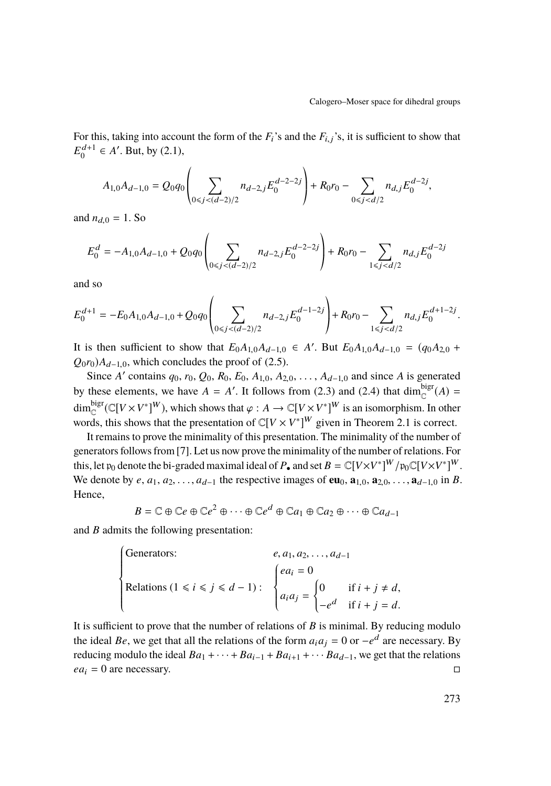For this, taking into account the form of the *<sup>F</sup>*i's and the *<sup>F</sup>*i,j's, it is sufficient to show that  $E_0^{d+1} \in A'$ . But, by [\(2.1\)](#page-6-0),

$$
A_{1,0}A_{d-1,0}=Q_0q_0\left(\sum_{0\leq j< (d-2)/2}n_{d-2,j}E_0^{d-2-2j}\right)+R_0r_0-\sum_{0\leq j< d/2}n_{d,j}E_0^{d-2j},
$$

and  $n_{d,0} = 1$ . So

$$
E_0^d = -A_{1,0}A_{d-1,0} + Q_0 q_0 \left( \sum_{0 \le j < (d-2)/2} n_{d-2,j} E_0^{d-2-j} \right) + R_0 r_0 - \sum_{1 \le j < d/2} n_{d,j} E_0^{d-2j}
$$

and so

$$
E_0^{d+1} = -E_0 A_{1,0} A_{d-1,0} + Q_0 q_0 \left( \sum_{0 \le j < (d-2)/2} n_{d-2,j} E_0^{d-1-2j} \right) + R_0 r_0 - \sum_{1 \le j < d/2} n_{d,j} E_0^{d+1-2j}.
$$

It is then sufficient to show that  $E_0A_{1,0}A_{d-1,0} \in A'$ . But  $E_0A_{1,0}A_{d-1,0} = (q_0A_{2,0} + Q_{1,0})A_{d-1}$  $Q_0r_0$ ) $A_{d-1,0}$ , which concludes the proof of [\(2.5\)](#page-8-0).

Since *A'* contains  $q_0$ ,  $r_0$ ,  $Q_0$ ,  $R_0$ ,  $E_0$ ,  $A_{1,0}$ ,  $A_{2,0}$ , ...,  $A_{d-1,0}$  and since *A* is generated by these elements, we have  $A = A'$ . It follows from [\(2.3\)](#page-8-1) and [\(2.4\)](#page-8-2) that dim<sub>c</sub><sup>bigr</sup>(A) = dim<sup>bigr</sup> ( $\mathbb{C}[V \times V^*]^W$ ), which shows that  $\varphi : A \to \mathbb{C}[V \times V^*]^W$  is an isomorphism. In other words this shows that the presentation of  $\mathbb{C}[V \times V^*]^W$  given in Theorem 2.1 is correct. words, this shows that the presentation of  $\mathbb{C}[V \times V^*]^W$  given in Theorem [2.1](#page-7-1) is correct.

It remains to prove the minimality of this presentation. The minimality of the number of generators follows from [\[7\]](#page-33-4). Let us now prove the minimality of the number of relations. For this, let  $\mathfrak{p}_0$  denote the bi-graded maximal ideal of  $P_\bullet$  and set  $B=\mathbb{C}[V\times V^*]^W/\mathfrak{p}_0\mathbb{C}[V\times V^*]^W$ . We denote by  $e, a_1, a_2, \ldots, a_{d-1}$  the respective images of **eu**<sub>0</sub>,  $\mathbf{a}_{1,0}, \mathbf{a}_{2,0}, \ldots, \mathbf{a}_{d-1,0}$  in *B*. Hence,

$$
B = \mathbb{C} \oplus \mathbb{C}e \oplus \mathbb{C}e^2 \oplus \cdots \oplus \mathbb{C}e^d \oplus \mathbb{C}a_1 \oplus \mathbb{C}a_2 \oplus \cdots \oplus \mathbb{C}a_{d-1}
$$

and *B* admits the following presentation:

$$
\begin{cases}\n\text{Generators:} & e, a_1, a_2, \dots, a_{d-1} \\
\text{Relationship:} & \begin{cases}\neq a_i = 0 \\
a_i a_j = \begin{cases}\n0 & \text{if } i + j \neq d, \\
-e^d & \text{if } i + j = d.\n\end{cases}\n\end{cases}\n\end{cases}
$$

It is sufficient to prove that the number of relations of *B* is minimal. By reducing modulo the ideal *Be*, we get that all the relations of the form  $a_i a_j = 0$  or  $-e^d$  are necessary. By reducing modulo the ideal  $Ba_1 + \cdots + Ba_{i-1} + Ba_{i+1} + \cdots Ba_{d-1}$ , we get that the relations  $ea_i = 0$  are necessary.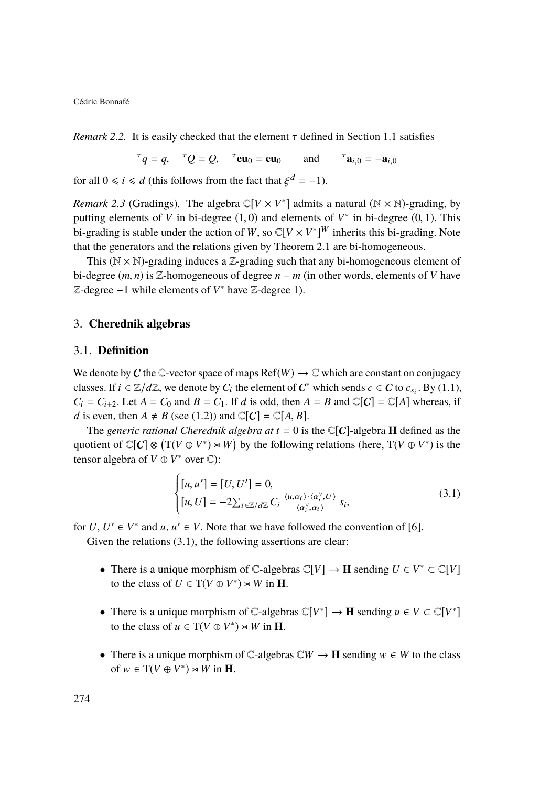*Remark 2.2.* It is easily checked that the element  $\tau$  defined in Section [1.1](#page-2-0) satisfies

$$
{}^{\tau}q = q
$$
,  ${}^{\tau}Q = Q$ ,  ${}^{\tau}\mathbf{eu}_0 = \mathbf{eu}_0$  and  ${}^{\tau}\mathbf{a}_{i,0} = -\mathbf{a}_{i,0}$ 

for all  $0 \le i \le d$  (this follows from the fact that  $\xi^d = -1$ ).

*Remark 2.3* (Gradings). The algebra  $\mathbb{C}[V \times V^*]$  admits a natural  $(\mathbb{N} \times \mathbb{N})$ -grading, by putting elements of *V* in bi-degree (1, 0) and elements of *V*<sup>\*</sup> in bi-degree (0, 1). This bi-grading is stable under the action of *W* so  $\mathbb{C}[V \times V^*]$ <sup>*W*</sup> inherits this bi-grading. Note bi-grading is stable under the action of *W*, so  $\mathbb{C}[V \times V^*]^W$  inherits this bi-grading. Note that the generators and the relations given by Theorem [2.1](#page-7-1) are bi-homogeneous.

This ( $\mathbb{N} \times \mathbb{N}$ )-grading induces a Z-grading such that any bi-homogeneous element of bi-degree  $(m, n)$  is  $\mathbb{Z}$ -homogeneous of degree  $n - m$  (in other words, elements of *V* have Z-degree −1 while elements of *V* <sup>∗</sup> have Z-degree 1).

#### 3. **Cherednik algebras**

#### 3.1. **Definition**

We denote by C the C-vector space of maps  $\text{Ref}(W) \to \mathbb{C}$  which are constant on conjugacy classes. If  $i \in \mathbb{Z}/d\mathbb{Z}$ , we denote by  $C_i$  the element of  $C^*$  which sends  $c \in C$  to  $c_{s_i}$ . By [\(1.1\)](#page-3-0),  $C_i = C_{i+2}$ . Let  $A = C_0$  and  $B = C_1$ . If *d* is odd, then  $A = B$  and  $\mathbb{C}[C] = \mathbb{C}[A]$  whereas, if *d* is even, then  $A \neq B$  (see [\(1.2\)](#page-3-1)) and  $\mathbb{C}[C] = \mathbb{C}[A, B]$ .

The *generic rational Cherednik algebra at*  $t = 0$  is the  $\mathbb{C}[C]$ -algebra **H** defined as the quotient of  $\mathbb{C}[C] \otimes (T(V \oplus V^*) \rtimes W)$  by the following relations (here,  $T(V \oplus V^*)$ ) is the tensor algebra of  $V \oplus V^*$  over  $\mathbb{C}$ ):

<span id="page-10-0"></span>
$$
\begin{cases}\n[u, u'] = [U, U'] = 0, \\
[u, U] = -2 \sum_{i \in \mathbb{Z}/d\mathbb{Z}} C_i \xrightarrow{\langle u, \alpha_i \rangle \cdot \langle \alpha_i^{\vee}, U \rangle} s_i,\n\end{cases}
$$
\n(3.1)

J. for  $U, U' \in V^*$  and  $u, u' \in V$ . Note that we have followed the convention of [\[6\]](#page-33-0).

Given the relations  $(3.1)$ , the following assertions are clear:

- There is a unique morphism of  $\mathbb{C}$ -algebras  $\mathbb{C}[V] \to \mathbf{H}$  sending  $U \in V^* \subset \mathbb{C}[V]$ to the class of  $U \in T(V \oplus V^*) \rtimes W$  in **H**.
- There is a unique morphism of  $\mathbb{C}$ -algebras  $\mathbb{C}[V^*] \to \mathbf{H}$  sending  $u \in V \subset \mathbb{C}[V^*]$ to the class of  $u \in T(V \oplus V^*) \rtimes W$  in **H**.
- There is a unique morphism of  $\mathbb{C}$ -algebras  $\mathbb{C}W \to \mathbf{H}$  sending  $w \in W$  to the class of  $w \in T(V \oplus V^*) \rtimes W$  in **H**.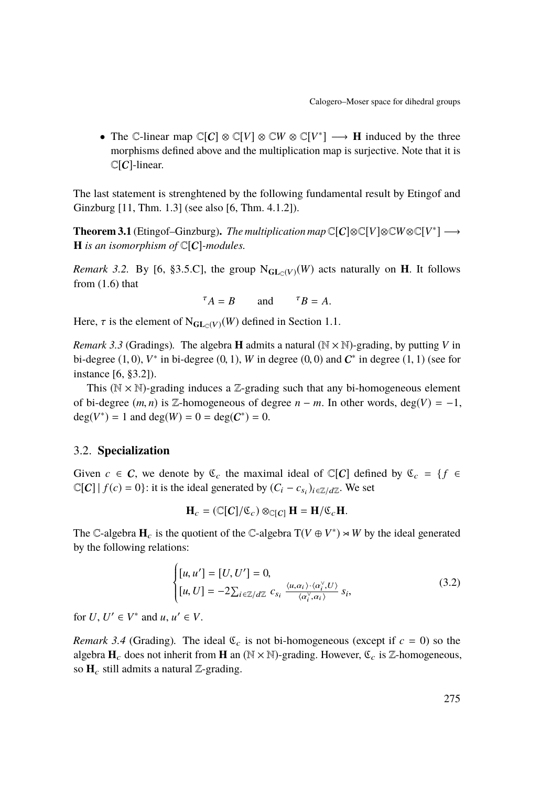• The C-linear map  $\mathbb{C}[C] \otimes \mathbb{C}[V] \otimes \mathbb{C}[W \otimes \mathbb{C}[V^*] \longrightarrow \mathbf{H}$  induced by the three morphisms defined above and the multiplication map is surjective. Note that it is  $\mathbb{C}[C]$ -linear.

The last statement is strenghtened by the following fundamental result by Etingof and Ginzburg [\[11,](#page-33-6) Thm. 1.3] (see also [\[6,](#page-33-0) Thm. 4.1.2]).

<span id="page-11-0"></span>**Theorem 3.1** (Etingof–Ginzburg). *The multiplication map*  $\mathbb{C}[C] \otimes \mathbb{C}[V] \otimes \mathbb{C}[W \otimes \mathbb{C}[V^*] \longrightarrow$ **H** *is an isomorphism of*  $\mathbb{C}[C]$ *-modules.* 

*Remark 3.2.* By [\[6,](#page-33-0) §3.5.C], the group  $N_{\text{GL}_n(V)}(W)$  acts naturally on **H**. It follows from [\(1.6\)](#page-3-2) that

$$
{}^{\tau}A = B \qquad \text{and} \qquad {}^{\tau}B = A.
$$

Here,  $\tau$  is the element of N<sub>GL $c(V)(W)$ </sub> defined in Section [1.1.](#page-2-0)

<span id="page-11-1"></span>*Remark 3.3* (Gradings). The algebra **H** admits a natural  $(N \times N)$ -grading, by putting *V* in bi-degree  $(1, 0)$ ,  $V^*$  in bi-degree  $(0, 1)$ ,  $W$  in degree  $(0, 0)$  and  $C^*$  in degree  $(1, 1)$  (see for instance [\[6,](#page-33-0) §3.2]).

This ( $\mathbb{N} \times \mathbb{N}$ )-grading induces a Z-grading such that any bi-homogeneous element of bi-degree  $(m, n)$  is Z-homogeneous of degree  $n - m$ . In other words, deg( $V = -1$ , deg( $V^*$ ) = 1 and deg( $W$ ) = 0 = deg( $C^*$ ) = 0.

#### 3.2. **Specialization**

Given  $c \in \mathcal{C}$ , we denote by  $\mathfrak{C}_c$  the maximal ideal of  $\mathbb{C}[\mathcal{C}]$  defined by  $\mathfrak{C}_c = \{f \in \mathcal{C} \mid f \in \mathcal{C}\}$  $\mathbb{C}[C] | f(c) = 0$ : it is the ideal generated by  $(C_i - c_{s_i})_{i \in \mathbb{Z}/d\mathbb{Z}}$ . We set

$$
\mathbf{H}_c = (\mathbb{C}[C]/\mathbb{C}_c) \otimes_{\mathbb{C}[C]} \mathbf{H} = \mathbf{H}/\mathbb{C}_c \mathbf{H}.
$$

The C-algebra  $\mathbf{H}_c$  is the quotient of the C-algebra  $T(V \oplus V^*) \rtimes W$  by the ideal generated by the following relations:

$$
\begin{cases}\n[u, u'] = [U, U'] = 0, \\
[u, U] = -2 \sum_{i \in \mathbb{Z}/d\mathbb{Z}} c_{s_i} \xrightarrow{\langle u, \alpha_i \rangle \cdot \langle \alpha_i^{\vee}, U \rangle} s_i,\n\end{cases} \tag{3.2}
$$

J. for  $U, U' \in V^*$  and  $u, u' \in V$ .

*Remark 3.4* (Grading). The ideal  $\mathfrak{C}_c$  is not bi-homogeneous (except if  $c = 0$ ) so the algebra  $\mathbf{H}_c$  does not inherit from **H** an ( $\mathbb{N} \times \mathbb{N}$ )-grading. However,  $\mathfrak{C}_c$  is  $\mathbb{Z}$ -homogeneous, so  $H_c$  still admits a natural Z-grading.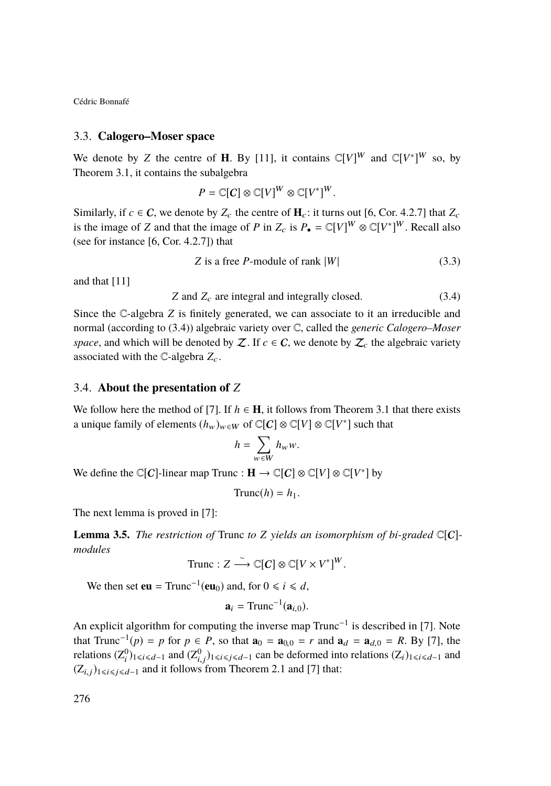#### <span id="page-12-0"></span>3.3. **Calogero–Moser space**

We denote by *Z* the centre of **H**. By [\[11\]](#page-33-6), it contains  $\mathbb{C}[V]^W$  and  $\mathbb{C}[V^*]^W$  so, by Theorem [3.1,](#page-11-0) it contains the subalgebra

$$
P = \mathbb{C}[C] \otimes \mathbb{C}[V]^W \otimes \mathbb{C}[V^*]^W
$$

Similarly, if  $c \in \mathbb{C}$ , we denote by  $Z_c$  the centre of  $\mathbf{H}_c$ : it turns out [\[6,](#page-33-0) Cor. 4.2.7] that  $Z_c$ is the image of *Z* and that the image of *P* in  $Z_c$  is  $P_{\bullet} = \mathbb{C}[V]^W \otimes \mathbb{C}[V^*]^W$ . Recall also (see for instance [\[6,](#page-33-0) Cor. 4.2.7]) that

$$
Z \text{ is a free } P\text{-module of rank } |W| \tag{3.3}
$$

and that [\[11\]](#page-33-6)

<span id="page-12-1"></span> $Z$  and  $Z_c$  are integral and integrally closed.  $(3.4)$ 

Since the C-algebra *Z* is finitely generated, we can associate to it an irreducible and normal (according to [\(3.4\)](#page-12-1)) algebraic variety over C, called the *generic Calogero–Moser space*, and which will be denoted by Z. If  $c \in C$ , we denote by  $Z_c$  the algebraic variety associated with the  $\mathbb{C}\text{-algebra }Z_c$ .

#### 3.4. **About the presentation of** *Z*

We follow here the method of [\[7\]](#page-33-4). If  $h \in H$ , it follows from Theorem [3.1](#page-11-0) that there exists a unique family of elements  $(h_w)_{w \in W}$  of  $\mathbb{C}[C] \otimes \mathbb{C}[V] \otimes \mathbb{C}[V^*]$  such that

$$
h = \sum_{w \in W} h_w w.
$$

We define the  $\mathbb{C}[C]$ -linear map Trunc :  $\mathbf{H} \to \mathbb{C}[C] \otimes \mathbb{C}[V] \otimes \mathbb{C}[V^*]$  by

$$
Trunc(h) = h_1.
$$

The next lemma is proved in [\[7\]](#page-33-4):

**Lemma 3.5.** *The restriction of* Trunc *to Z yields an isomorphism of bi-graded*  $\mathbb{C}[C]$ *modules*

Trunc: 
$$
Z \xrightarrow{\sim} \mathbb{C}[C] \otimes \mathbb{C}[V \times V^*]^W
$$
.

We then set **eu** = Trunc<sup>-1</sup>(**eu**<sub>0</sub>) and, for  $0 \le i \le d$ ,

 $a_i = \text{Trunc}^{-1}(a_{i,0}).$ 

An explicit algorithm for computing the inverse map Trunc<sup>-1</sup> is described in [\[7\]](#page-33-4). Note that Trunc<sup>-1</sup>(*p*) = *p* for *p* ∈ *P*, so that  $\mathbf{a}_0 = \mathbf{a}_{0,0} = r$  and  $\mathbf{a}_d = \mathbf{a}_{d,0} = R$ . By [\[7\]](#page-33-4), the relations (70) relations  $(Z_i^0)_{1 \le i \le d-1}$  and  $(Z_{i,j}^0)_{1 \le i \le j \le d-1}$  can be deformed into relations  $(Z_i)_{1 \le i \le d-1}$  and  $(Z_{i,j})_{1 \le i \le d-1}$  $(Z_{i,j})_{1\leq i\leq j\leq d-1}$  and it follows from Theorem [2.1](#page-7-1) and [\[7\]](#page-33-4) that: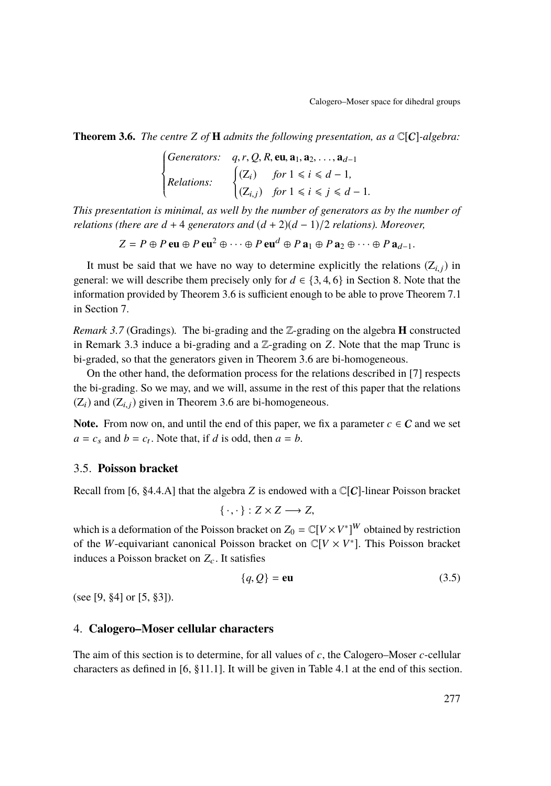<span id="page-13-0"></span>**Theorem 3.6.** *The centre Z of* **H** *admits the following presentation, as a* C[C]*-algebra:*

*Generators:* 
$$
q, r, Q, R, \text{eu}, \text{a}_1, \text{a}_2, \ldots, \text{a}_{d-1}
$$
  
\n*Relations:* 
$$
\begin{cases} (Z_i) & \text{for } 1 \leq i \leq d-1, \\ (Z_{i,j}) & \text{for } 1 \leq i \leq j \leq d-1. \end{cases}
$$

 *This presentation is minimal, as well by the number of generators as by the number of relations (there are d* + 4 *generators and* (*d* + 2)(*d* − 1)/2 *relations). Moreover,*

$$
Z = P \oplus P \operatorname{eu} \oplus P \operatorname{eu}^2 \oplus \cdots \oplus P \operatorname{eu}^d \oplus P \operatorname{a}_1 \oplus P \operatorname{a}_2 \oplus \cdots \oplus P \operatorname{a}_{d-1}.
$$

It must be said that we have no way to determine explicitly the relations  $(Z_{i,j})$  in general: we will describe them precisely only for  $d \in \{3, 4, 6\}$  in Section [8.](#page-25-0) Note that the information provided by Theorem [3.6](#page-13-0) is sufficient enough to be able to prove Theorem [7.1](#page-24-0) in Section [7.](#page-24-1)

*Remark 3.7* (Gradings)*.* The bi-grading and the Z-grading on the algebra **H** constructed in Remark [3.3](#page-11-1) induce a bi-grading and a Z-grading on *Z*. Note that the map Trunc is bi-graded, so that the generators given in Theorem [3.6](#page-13-0) are bi-homogeneous.

On the other hand, the deformation process for the relations described in [\[7\]](#page-33-4) respects the bi-grading. So we may, and we will, assume in the rest of this paper that the relations  $(Z_i)$  and  $(Z_{i,i})$  given in Theorem [3.6](#page-13-0) are bi-homogeneous.

**Note.** From now on, and until the end of this paper, we fix a parameter  $c \in \mathcal{C}$  and we set  $a = c_s$  and  $b = c_t$ . Note that, if *d* is odd, then  $a = b$ .

#### 3.5. **Poisson bracket**

Recall from [\[6,](#page-33-0) §4.4.A] that the algebra *Z* is endowed with a  $\mathbb{C}[C]$ -linear Poisson bracket

$$
\{\cdot,\cdot\}:Z\times Z\longrightarrow Z,
$$

which is a deformation of the Poisson bracket on  $Z_0 = \mathbb{C}[V \times V^*]^W$  obtained by restriction of the *W*-equivariant canonical Poisson bracket on  $\mathbb{C}[V \times V^*]$ . This Poisson bracket induces a Poisson bracket on  $Z_c$ . It satisfies

<span id="page-13-1"></span>
$$
\{q, Q\} = \mathbf{eu}
$$
 (3.5)

(see [\[9,](#page-33-7) §4] or [\[5,](#page-33-8) §3]).

#### 4. **Calogero–Moser cellular characters**

The aim of this section is to determine, for all values of *c*, the Calogero–Moser *c*-cellular characters as defined in [\[6,](#page-33-0) §11.1]. It will be given in Table [4.1](#page-18-0) at the end of this section.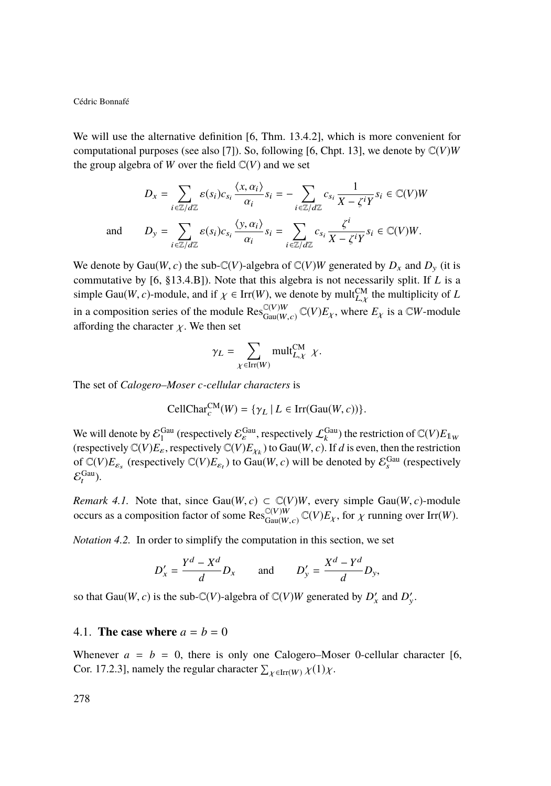We will use the alternative definition [\[6,](#page-33-0) Thm. 13.4.2], which is more convenient for computational purposes (see also [\[7\]](#page-33-4)). So, following [\[6,](#page-33-0) Chpt. 13], we denote by  $C(V)W$ the group algebra of *W* over the field  $\mathbb{C}(V)$  and we set

$$
D_x = \sum_{i \in \mathbb{Z}/d\mathbb{Z}} \varepsilon(s_i)c_{s_i} \frac{\langle x, \alpha_i \rangle}{\alpha_i} s_i = -\sum_{i \in \mathbb{Z}/d\mathbb{Z}} c_{s_i} \frac{1}{X - \zeta^i Y} s_i \in \mathbb{C}(V)W
$$
  
and 
$$
D_y = \sum_{i \in \mathbb{Z}/d\mathbb{Z}} \varepsilon(s_i)c_{s_i} \frac{\langle y, \alpha_i \rangle}{\alpha_i} s_i = \sum_{i \in \mathbb{Z}/d\mathbb{Z}} c_{s_i} \frac{\zeta^i}{X - \zeta^i Y} s_i \in \mathbb{C}(V)W.
$$

We denote by Gau(*W*, *c*) the sub-C(*V*)-algebra of C(*V*)*W* generated by  $D_x$  and  $D_y$  (it is commutative by [\[6,](#page-33-0) §13.4.B]). Note that this algebra is not necessarily split. If *L* is a simple Gau(*W*, *c*)-module, and if  $\chi \in \text{Irr}(W)$ , we denote by mult $_{L,\chi}^{\text{CM}}$  the multiplicity of L simple Gau(*W*, *c*)-module, and if  $\chi \in \text{Irr}(W)$ , we denote by mult $\chi^{\text{CM}}_{L,\chi}$  the multiplicity of *L* in a composition series of the module  $\text{Res}_{\text{Gau}(W, c)}^{\text{C}(V)W} \mathbb{C}(V)E_{\chi}$ , where  $E_{\chi}$  is a  $\mathbb{C}W$ -mod  $\operatorname{G}(V)W_{\operatorname{Gau}(W,c)} \mathbb{C}(V)E_{\chi}$ , where  $E_{\chi}$  is a  $\mathbb{C}W$ -module affording the character  $\chi$ . We then set

$$
\gamma_L = \sum_{\chi \in \text{Irr}(W)} \text{mult}_{L,\chi}^{\text{CM}} \chi.
$$

The set of *Calogero–Moser c-cellular characters* is

$$
\text{CellChar}_{c}^{\text{CM}}(W) = \{ \gamma_L \mid L \in \text{Irr}(\text{Gau}(W, c)) \}.
$$

We will denote by  $\mathcal{E}_1^{\rm Gau}$  (respectively  $\mathcal{E}_\varepsilon^{\rm Gau}$ , respectively  $\mathcal{L}_k^{\rm Gau}$ ) the restriction of  $\mathbb{C}(V)E_{1_W}$ (respectively  $\mathbb{C}(V)E_{\varepsilon}$ , respectively  $\mathbb{C}(V)E_{\chi_k}$ ) to Gau $(W, c)$ . If *d* is even, then the restriction of  $\mathbb{C}(V)E_{\varepsilon}$  (respectively  $\mathbb{C}(V)E_{\varepsilon}$ ) to Gau $(W, c)$  will be denoted by  $\mathbb{F}^{\text{Gal}}$  (resp of  $\mathbb{C}(V)E_{\varepsilon_s}$  (respectively  $\mathbb{C}(V)E_{\varepsilon_t}$ ) to Gau(*W*, *c*) will be denoted by  $\mathcal{E}_s^{\text{Gau}}$  (respectively  $\mathcal{E}_t^{\text{Gau}}$ ).

*Remark 4.1.* Note that, since  $\text{Gau}(W, c) \subset \mathbb{C}(V)W$ , every simple  $\text{Gau}(W, c)$ -module occurs as a composition factor of some  $\text{Res}_{\text{Gau}(W, c)}^{\mathbb{C}(V)W} \mathbb{C}(V)E_{\chi}$ , for  $\chi$  running over Irr(*W*).  $C(V)W$ <sub>Gau(*W*,*c*)</sub>  $C(V)E_\chi$ , for  $\chi$  running over Irr(*W*).

*Notation 4.2.* In order to simplify the computation in this section, we set

$$
D'_x = \frac{Y^d - X^d}{d} D_x \quad \text{and} \quad D'_y = \frac{X^d - Y^d}{d} D_y,
$$

so that Gau(*W*, *c*) is the sub- $\mathbb{C}(V)$ -algebra of  $\mathbb{C}(V)W$  generated by  $D'_x$  and  $D'_y$ .

#### 4.1. **The case where**  $a = b = 0$

Whenever  $a = b = 0$ , there is only one Calogero–Moser 0-cellular character [\[6,](#page-33-0) Cor. 17.2.3], namely the regular character  $\sum_{\chi \in \text{Irr}(W)} \chi(1) \chi$ .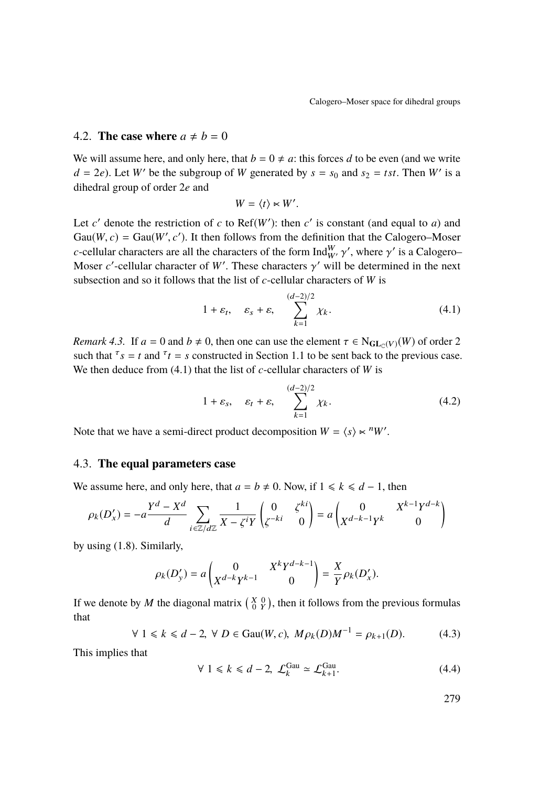#### 4.2. **The case where**  $a \neq b = 0$

We will assume here, and only here, that  $b = 0 \neq a$ : this forces *d* to be even (and we write  $d = 2e$ ). Let *W'* be the subgroup of *W* generated by  $s = s_0$  and  $s_2 = tst$ . Then *W'* is a dihedral group of order 2*e* and

$$
W = \langle t \rangle \ltimes W'.
$$

Let  $c'$  denote the restriction of  $c$  to Ref( $W'$ ): then  $c'$  is constant (and equal to  $a$ ) and Gau(*W*, *c*) = Gau(*W'*, *c'*). It then follows from the definition that the Calogero–Moser *c*-cellular characters are all the characters of the form Ind<sup>W</sup>,  $\gamma'$ , where  $\gamma'$  is a Calogero–Moser of cellular character of W'. These characters  $\alpha'$  will be determined in the next *c*-centuar characters are an the characters of the form  $\lim_{W'} \gamma$ , where  $\gamma$  is a Calogero-Moser *c'*-cellular character of *W'*. These characters  $\gamma'$  will be determined in the next subsection and so it follows that the list of *c*-cellular characters of *W* is

<span id="page-15-0"></span>
$$
1 + \varepsilon_t, \quad \varepsilon_s + \varepsilon, \quad \sum_{k=1}^{(d-2)/2} \chi_k.
$$
 (4.1)

*Remark 4.3.* If  $a = 0$  and  $b \neq 0$ , then one can use the element  $\tau \in N_{GL_C(V)}(W)$  of order 2 such that  $\tau_s = t$  and  $\tau_t = s$  constructed in Section [1.1](#page-2-0) to be sent back to the previous case. We then deduce from [\(4.1\)](#page-15-0) that the list of *c*-cellular characters of *W* is

$$
1 + \varepsilon_s, \quad \varepsilon_t + \varepsilon, \quad \sum_{k=1}^{(d-2)/2} \chi_k.
$$
 (4.2)

Note that we have a semi-direct product decomposition  $W = \langle s \rangle \sim \frac{n}{W'}$ .

#### 4.3. **The equal parameters case**

We assume here, and only here, that  $a = b \neq 0$ . Now, if  $1 \le k \le d - 1$ , then

$$
\rho_k(D'_x) = -a \frac{Y^d - X^d}{d} \sum_{i \in \mathbb{Z}/d\mathbb{Z}} \frac{1}{X - \zeta^i Y} \begin{pmatrix} 0 & \zeta^{ki} \\ \zeta^{-ki} & 0 \end{pmatrix} = a \begin{pmatrix} 0 & X^{k-1} Y^{d-k} \\ X^{d-k-1} Y^k & 0 \end{pmatrix}
$$

by using [\(1.8\)](#page-5-1). Similarly,

$$
\rho_k(D'_y) = a \begin{pmatrix} 0 & X^k Y^{d-k-1} \\ X^{d-k} Y^{k-1} & 0 \end{pmatrix} = \frac{X}{Y} \rho_k(D'_x).
$$

If we denote by *M* the diagonal matrix  $\begin{pmatrix} X & 0 \\ 0 & Y \end{pmatrix}$ , then it follows from the previous formulas that

$$
\forall 1 \le k \le d-2, \ \forall D \in \text{Gau}(W, c), \ M\rho_k(D)M^{-1} = \rho_{k+1}(D). \tag{4.3}
$$

This implies that

<span id="page-15-1"></span>
$$
\forall 1 \le k \le d-2, \ \mathcal{L}_k^{\text{Gau}} \simeq \mathcal{L}_{k+1}^{\text{Gau}}.\tag{4.4}
$$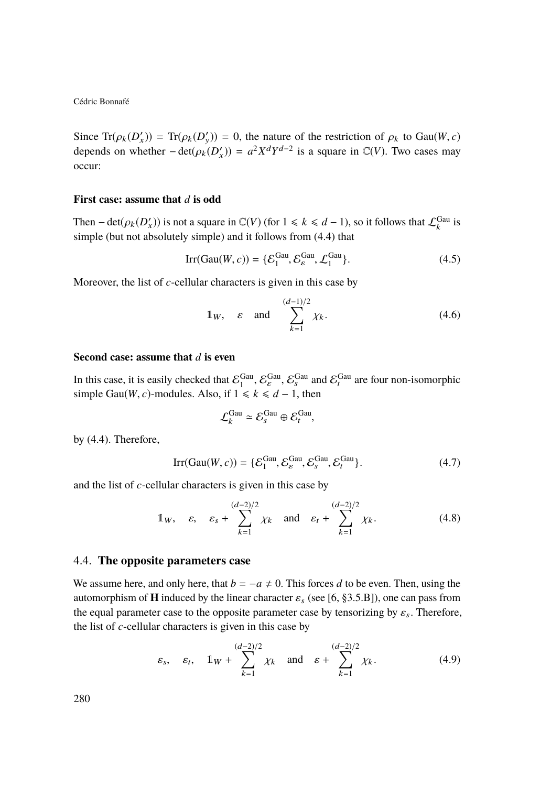Since  $\text{Tr}(\rho_k(D'_x)) = \text{Tr}(\rho_k(D'_y)) = 0$ , the nature of the restriction of  $\rho_k$  to Gau(*W*, *c*) denotes an whether  $\text{det}(g_1(D'_x)) = z^2 \text{Vd} \text{Vd}^{-2}$  is a square in  $\mathcal{O}(V)$ . Thus associated depends on whether  $-\det(\rho_k(D'_x)) = a^2 X^d Y^{d-2}$  is a square in  $\mathbb{C}(V)$ . Two cases may occur:

#### **First case: assume that** *d* **is odd**

Then – det( $\rho_k(D'_x)$ ) is not a square in  $\mathbb{C}(V)$  (for  $1 \le k \le d-1$ ), so it follows that  $\mathcal{L}_k^{\text{Gau}}$  is simple (but not absolutely simple) and it follows from (*A*) that simple (but not absolutely simple) and it follows from [\(4.4\)](#page-15-1) that

$$
Irr(Gau(W, c)) = \{ \mathcal{E}_1^{Gau}, \mathcal{E}_\varepsilon^{Gau}, \mathcal{L}_1^{Gau} \}. \tag{4.5}
$$

Moreover, the list of *c*-cellular characters is given in this case by

$$
\mathbb{1}_W, \quad \varepsilon \quad \text{and} \quad \sum_{k=1}^{(d-1)/2} \chi_k. \tag{4.6}
$$

#### **Second case: assume that** *d* **is even**

In this case, it is easily checked that  $\mathcal{E}_1^{\text{Gau}}, \mathcal{E}_s^{\text{Gau}}$ ,  $\mathcal{E}_s^{\text{Gau}}$  and  $\mathcal{E}_t^{\text{Gau}}$  are four non-isomorphic simple Gau(*W*, *c*)-modules. Also, if  $1 \le k \le d - 1$ , then

$$
\mathcal{L}_k^{\text{Gau}} \simeq \mathcal{E}_s^{\text{Gau}} \oplus \mathcal{E}_t^{\text{Gau}},
$$

by [\(4.4\)](#page-15-1). Therefore,

$$
\text{Irr}(\text{Gau}(W, c)) = \{ \mathcal{E}_1^{\text{Gau}}, \mathcal{E}_\varepsilon^{\text{Gau}}, \mathcal{E}_s^{\text{Gau}}, \mathcal{E}_t^{\text{Gau}} \}. \tag{4.7}
$$

and the list of *c*-cellular characters is given in this case by

$$
\mathbb{1}_W, \quad \varepsilon, \quad \varepsilon_s + \sum_{k=1}^{(d-2)/2} \chi_k \quad \text{and} \quad \varepsilon_t + \sum_{k=1}^{(d-2)/2} \chi_k. \tag{4.8}
$$

#### 4.4. **The opposite parameters case**

We assume here, and only here, that  $b = -a \neq 0$ . This forces *d* to be even. Then, using the automorphism of **H** induced by the linear character  $\varepsilon_s$  (see [\[6,](#page-33-0) §3.5.B]), one can pass from the equal parameter case to the opposite parameter case by tensorizing by  $\varepsilon_s$ . Therefore, the list of *c*-cellular characters is given in this case by

$$
\varepsilon_s
$$
,  $\varepsilon_t$ ,  $\mathbb{1}_W + \sum_{k=1}^{(d-2)/2} \chi_k$  and  $\varepsilon + \sum_{k=1}^{(d-2)/2} \chi_k$ . (4.9)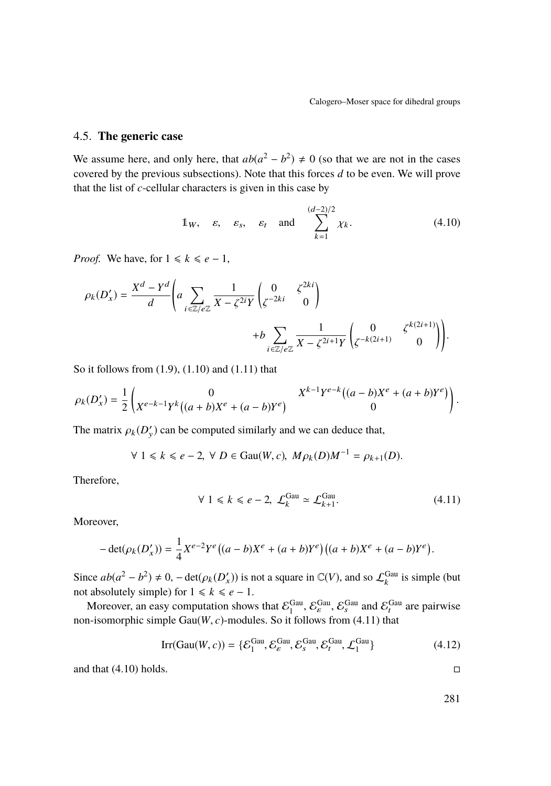## 4.5. **The generic case**

We assume here, and only here, that  $ab(a^2 - b^2) \neq 0$  (so that we are not in the cases covered by the previous subsections). Note that this forces *d* to be even. We will prove that the list of *c*-cellular characters is given in this case by

<span id="page-17-1"></span>
$$
\mathbb{1}_W
$$
,  $\varepsilon$ ,  $\varepsilon_s$ ,  $\varepsilon_t$  and  $\sum_{k=1}^{(d-2)/2} \chi_k$ . (4.10)

*Proof.* We have, for  $1 \le k \le e - 1$ ,

$$
\rho_k(D'_x) = \frac{X^d - Y^d}{d} \left( a \sum_{i \in \mathbb{Z}/e\mathbb{Z}} \frac{1}{X - \zeta^{2i} Y} \begin{pmatrix} 0 & \zeta^{2ki} \\ \zeta^{-2ki} & 0 \end{pmatrix} + b \sum_{i \in \mathbb{Z}/e\mathbb{Z}} \frac{1}{X - \zeta^{2i+1} Y} \begin{pmatrix} 0 & \zeta^{k(2i+1)} \\ \zeta^{-k(2i+1)} & 0 \end{pmatrix} \right).
$$

So it follows from [\(1.9\)](#page-5-2), [\(1.10\)](#page-5-3) and [\(1.11\)](#page-5-4) that

$$
\rho_k(D'_x) = \frac{1}{2} \begin{pmatrix} 0 & X^{k-1}Y^{e-k}((a-b)X^e + (a+b)Y^e) \\ X^{e-k-1}Y^k((a+b)X^e + (a-b)Y^e) & 0 \end{pmatrix}.
$$

The matrix  $\rho_k(D'_y)$  can be computed similarly and we can deduce that,

$$
\forall 1 \le k \le e-2, \ \forall D \in \text{Gau}(W, c), \ M\rho_k(D)M^{-1} = \rho_{k+1}(D).
$$

Therefore,

<span id="page-17-0"></span>
$$
\forall 1 \le k \le e-2, \ \mathcal{L}_k^{\text{Gau}} \simeq \mathcal{L}_{k+1}^{\text{Gau}}.\tag{4.11}
$$

Moreover,

$$
-\det(\rho_k(D'_x)) = \frac{1}{4}X^{e-2}Y^e\big((a-b)X^e + (a+b)Y^e\big)\big((a+b)X^e + (a-b)Y^e\big).
$$

Since  $ab(a^2 - b^2) \neq 0$ ,  $-\det(\rho_k(D'_x))$  is not a square in  $\mathbb{C}(V)$ , and so  $\mathcal{L}_k^{\text{Gau}}$  is simple (but not absolutely simple) for  $1 \le k \le e - 1$ .

Moreover, an easy computation shows that  $\mathcal{E}_1^{\text{Gau}}, \mathcal{E}_s^{\text{Gau}}, \mathcal{E}_s^{\text{Gau}}$  and  $\mathcal{E}_t^{\text{Gau}}$  are pairwise non-isomorphic simple  $Gau(W, c)$ -modules. So it follows from [\(4.11\)](#page-17-0) that

$$
Irr(Gau(W, c)) = \{ \mathcal{E}_1^{Gau}, \mathcal{E}_\varepsilon^{Gau}, \mathcal{E}_s^{Gau}, \mathcal{E}_t^{Gau}, \mathcal{L}_1^{Gau} \}
$$
(4.12)

and that  $(4.10)$  holds.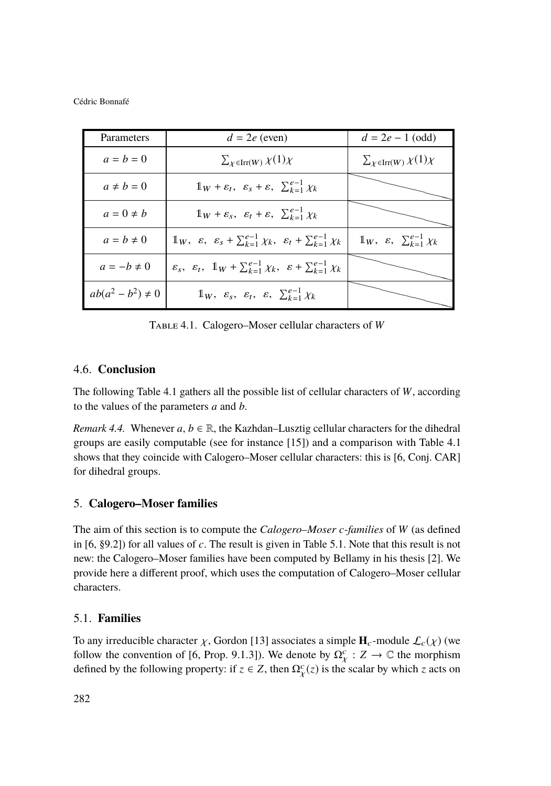| Parameters             | $d = 2e$ (even)                                                                                                        | $d = 2e - 1$ (odd)                                         |
|------------------------|------------------------------------------------------------------------------------------------------------------------|------------------------------------------------------------|
| $a = b = 0$            | $\sum_{\chi \in \text{Irr}(W)} \chi(1) \chi$                                                                           | $\sum_{\chi \in \text{Irr}(W)} \chi(1) \chi$               |
| $a \neq b = 0$         | $\mathbb{1}_W + \varepsilon_t$ , $\varepsilon_s + \varepsilon$ , $\sum_{k=1}^{e-1} \chi_k$                             |                                                            |
| $a=0\neq b$            | $1_W + \varepsilon_s$ , $\varepsilon_t + \varepsilon$ , $\sum_{k=1}^{e-1} \chi_k$                                      |                                                            |
| $a = b \neq 0$         | $\mathbb{1}_W$ , $\varepsilon$ , $\varepsilon_s + \sum_{k=1}^{e-1} \chi_k$ , $\varepsilon_t + \sum_{k=1}^{e-1} \chi_k$ | $\mathbb{1}_W$ , $\varepsilon$ , $\sum_{k=1}^{e-1} \chi_k$ |
| $a = -b \neq 0$        | $\varepsilon_s$ , $\varepsilon_t$ , $\mathbb{1}_W + \sum_{k=1}^{e-1} \chi_k$ , $\varepsilon + \sum_{k=1}^{e-1} \chi_k$ |                                                            |
| $ab(a^2 - b^2) \neq 0$ | $\mathbb{1}_W$ , $\varepsilon_s$ , $\varepsilon_t$ , $\varepsilon$ , $\sum_{k=1}^{e-1} \chi_k$                         |                                                            |

<span id="page-18-0"></span>Table 4.1. Calogero–Moser cellular characters of *W*

## 4.6. **Conclusion**

The following Table [4.1](#page-18-0) gathers all the possible list of cellular characters of *W*, according to the values of the parameters *a* and *b*.

*Remark 4.4.* Whenever  $a, b \in \mathbb{R}$ , the Kazhdan–Lusztig cellular characters for the dihedral groups are easily computable (see for instance [\[15\]](#page-34-3)) and a comparison with Table [4.1](#page-18-0) shows that they coincide with Calogero–Moser cellular characters: this is [\[6,](#page-33-0) Conj. CAR] for dihedral groups.

## 5. **Calogero–Moser families**

The aim of this section is to compute the *Calogero–Moser c-families* of *W* (as defined in [\[6,](#page-33-0) §9.2]) for all values of *c*. The result is given in Table [5.1.](#page-20-0) Note that this result is not new: the Calogero–Moser families have been computed by Bellamy in his thesis [\[2\]](#page-33-2). We provide here a different proof, which uses the computation of Calogero–Moser cellular characters.

## 5.1. **Families**

To any irreducible character  $\chi$ , Gordon [\[13\]](#page-34-0) associates a simple  $\mathbf{H}_c$ -module  $\mathcal{L}_c(\chi)$  (we follow the convention of [\[6,](#page-33-0) Prop. 9.1.3]). We denote by  $\Omega_{V}^{c}$  :  $Z \to \mathbb{C}$  the morphism defined by the following property: if  $z \in Z$ , then  $\Omega_Y^c(z)$  is the scalar by which *z* acts on  $\ddot{\phantom{0}}$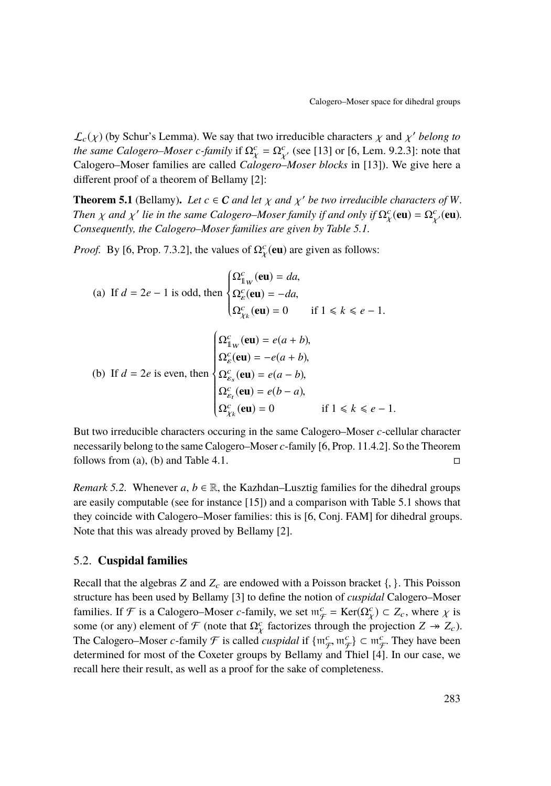$\mathcal{L}_{c}(\chi)$  (by Schur's Lemma). We say that two irreducible characters  $\chi$  and  $\chi'$  belong to<br>the same Calgagro, Moser c family if  $\Omega_{c}^{c} = \Omega_{c}^{c}$  (see [13] or [6, Lem, 0.2.3]; note that *the same Calogero–Moser c-family* if  $\Omega_{\chi}^c = \Omega_{\chi'}^c$  (see [\[13\]](#page-34-0) or [\[6,](#page-33-0) Lem. 9.2.3]: note that Calogero–Moser families are called Calogero–Moser blocks in [13]). We give here a Calogero–Moser families are called *Calogero–Moser blocks* in [\[13\]](#page-34-0)). We give here a different proof of a theorem of Bellamy [\[2\]](#page-33-2):

**Theorem 5.1** (Bellamy). Let  $c \in C$  *and let*  $\chi$  *and*  $\chi'$  *be two irreducible characters of W*.<br>Then  $\chi$  and  $\chi'$  lie in the same Calgagra Moser family if and only if  $O^c$  (an) =  $O^c$  (an) *Then*  $\chi$  *and*  $\chi'$  *lie in the same Calogero–Moser family if and only if*  $\Omega^c_\chi(\mathbf{eu}) = \Omega^c_\chi(\mathbf{eu})$ *.*<br>*Consequently, the Calogero–Moser families are given by Table* 5.1  $\ddot{\phantom{0}}$ *Consequently, the Calogero–Moser families are given by Table [5.1.](#page-20-0)*

χ

<span id="page-19-0"></span>*Proof.* By [\[6,](#page-33-0) Prop. 7.3.2], the values of  $\Omega_r^c(\text{eu})$  are given as follows:

<span id="page-19-1"></span>(a) If 
$$
d = 2e - 1
$$
 is odd, then 
$$
\begin{cases} \Omega_{\mathbb{1}_W}^c(\mathbf{eu}) = da, \\ \Omega_{\mathcal{E}}^c(\mathbf{eu}) = -da, \\ \Omega_{\mathcal{X}}^c(\mathbf{eu}) = 0 \quad \text{if } 1 \le k \le e - 1. \end{cases}
$$
  
(b) If  $d = 2e$  is even, then 
$$
\begin{cases} \Omega_{\mathbb{1}_W}^c(\mathbf{eu}) = e(a + b), \\ \Omega_{\mathcal{E}}^c(\mathbf{eu}) = -e(a + b), \\ \Omega_{\mathcal{E}}^c(\mathbf{eu}) = e(a - b), \\ \Omega_{\mathcal{E}}^c(\mathbf{eu}) = e(b - a), \\ \Omega_{\mathcal{X}}^c(\mathbf{eu}) = 0 \quad \text{if } 1 \le k \le e - 1. \end{cases}
$$

But two irreducible characters occuring in the same Calogero–Moser *c*-cellular character necessarily belong to the same Calogero–Moser *c*-family [\[6,](#page-33-0) Prop. 11.4.2]. So the Theorem follows from [\(a\)](#page-19-0), [\(b\)](#page-19-1) and Table [4.1.](#page-18-0)  $\Box$ 

*Remark 5.2.* Whenever  $a, b \in \mathbb{R}$ , the Kazhdan–Lusztig families for the dihedral groups are easily computable (see for instance [\[15\]](#page-34-3)) and a comparison with Table [5.1](#page-20-0) shows that they coincide with Calogero–Moser families: this is [\[6,](#page-33-0) Conj. FAM] for dihedral groups. Note that this was already proved by Bellamy [\[2\]](#page-33-2).

#### 5.2. **Cuspidal families**

Recall that the algebras *Z* and  $Z_c$  are endowed with a Poisson bracket  $\{\}$ . This Poisson structure has been used by Bellamy [\[3\]](#page-33-1) to define the notion of *cuspidal* Calogero–Moser families. If F is a Calogero–Moser *c*-family, we set  $m_{\mathcal{F}}^c = \text{Ker}(\Omega_{\mathcal{X}}^c) \subset Z_c$ , where  $\chi$  is<br>some (or any) element of  $\mathcal{F}$  (note that  $\Omega_c^c$  fectorizes through the projection  $Z \times Z$ ) some (or any) element of  $\mathcal{F}$  (note that  $\Omega_{\chi}^{c}$  factorizes through the projection  $Z \twoheadrightarrow Z_{c}$ ). The Calogero–Moser *c*-family  $\mathcal F$  is called *cuspidal* if  $\{m_f^c, m_f^c\} \subset m_f^c$ . They have been<br>determined for most of the Coxeter groups by Bellamy and Thiel [4]. In our case, we determined for most of the Coxeter groups by Bellamy and Thiel [\[4\]](#page-33-9). In our case, we recall here their result, as well as a proof for the sake of completeness.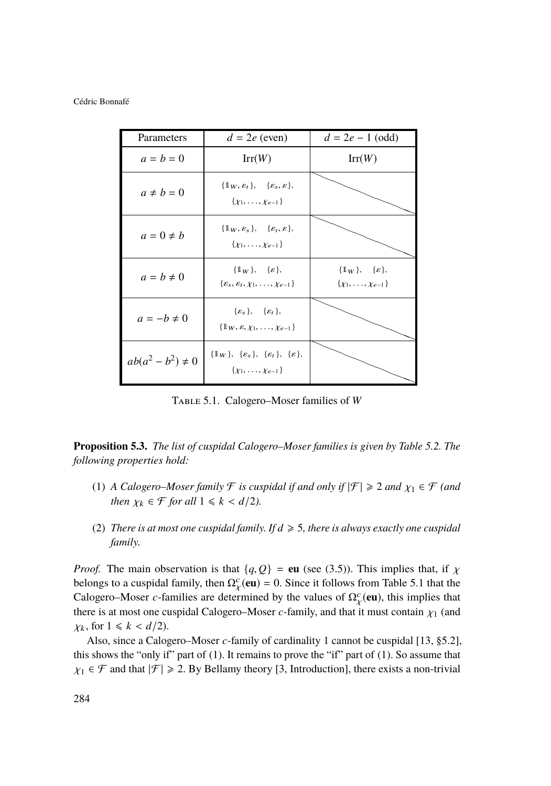| Parameters             | $d = 2e$ (even)                                                                                         | $d = 2e - 1$ (odd)                                                       |
|------------------------|---------------------------------------------------------------------------------------------------------|--------------------------------------------------------------------------|
| $a = b = 0$            | Irr(W)                                                                                                  | Irr(W)                                                                   |
| $a \neq b = 0$         | $\{\mathbb{1}_W, \varepsilon_t\}, \{\varepsilon_s, \varepsilon\},\$<br>$\{x_1, \ldots, x_{e-1}\}$       |                                                                          |
| $a=0\neq b$            | $\{\mathbb{1}_W, \varepsilon_s\}, \{\varepsilon_t, \varepsilon\},\$<br>$\{x_1, \ldots, x_{e-1}\}$       |                                                                          |
| $a = b \neq 0$         | $\{1_W\}, \{\varepsilon\},$<br>$\{\varepsilon_s, \varepsilon_t, \chi_1, \ldots, \chi_{e-1}\}\$          | $\{\mathbb{1}_W\}, \{\varepsilon\},$<br>$\{\chi_1, \ldots, \chi_{e-1}\}$ |
| $a = -b \neq 0$        | $\{\varepsilon_s\}, \{\varepsilon_t\},$<br>$\{\mathbb{1}_W, \varepsilon, \chi_1, \ldots, \chi_{e-1}\}\$ |                                                                          |
| $ab(a^2 - b^2) \neq 0$ | $\{1_W\}, \{\varepsilon_s\}, \{\varepsilon_t\}, \{\varepsilon\},$<br>$\{x_1, \ldots, x_{e-1}\}$         |                                                                          |

<span id="page-20-0"></span>Table 5.1. Calogero–Moser families of *W*

<span id="page-20-2"></span>**Proposition 5.3.** *The list of cuspidal Calogero–Moser families is given by Table [5.2.](#page-21-0) The following properties hold:*

- <span id="page-20-1"></span>(1) *A Calogero–Moser family*  $\mathcal F$  *is cuspidal if and only if*  $|\mathcal F| \geq 2$  *and*  $\chi_1 \in \mathcal F$  *(and then*  $\chi_k \in \mathcal{F}$  *for all*  $1 \leq k \leq d/2$ *).*
- (2) *There is at most one cuspidal family. If*  $d \ge 5$ *, there is always exactly one cuspidal family.*

*Proof.* The main observation is that  $\{q, Q\}$  = **eu** (see [\(3.5\)](#page-13-1)). This implies that, if  $\chi$ belongs to a cuspidal family, then  $\Omega_Y^c(\text{eu}) = 0$ . Since it follows from Table [5.1](#page-20-0) that the Calogero–Moser *c*-families are determined by the values of  $\Omega_{\nu}^{c}(\text{eu})$ , this implies that there is at most one cuspidal Calogero–Moser *c*-family, and that it must contain  $\chi_1$  (and  $\chi_2$  for  $1 \le k \le d/2$ )  $\chi_k$ , for  $1 \leq k < d/2$ .

Also, since a Calogero–Moser *c*-family of cardinality 1 cannot be cuspidal [\[13,](#page-34-0) §5.2], this shows the "only if" part of [\(1\)](#page-20-1). It remains to prove the "if" part of [\(1\)](#page-20-1). So assume that  $\chi_1 \in \mathcal{F}$  and that  $|\mathcal{F}| \geq 2$ . By Bellamy theory [\[3,](#page-33-1) Introduction], there exists a non-trivial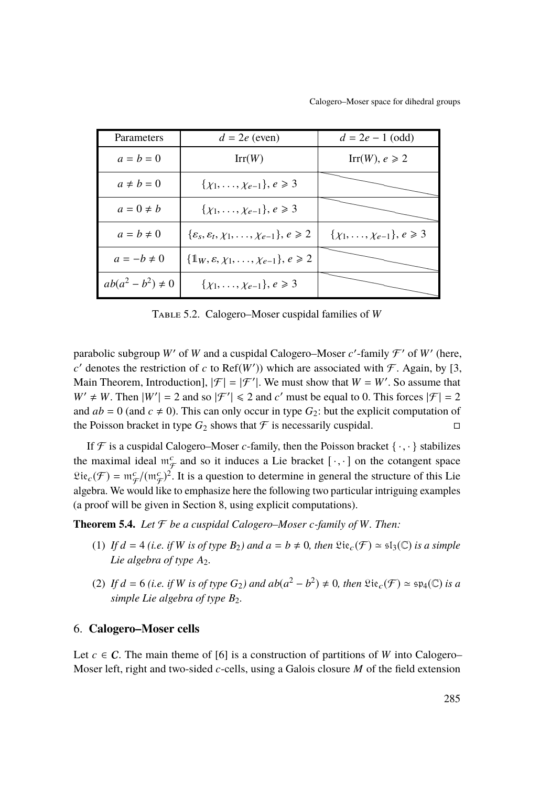Calogero–Moser space for dihedral groups

| Parameters             | $d = 2e$ (even)                                                          | $d = 2e - 1$ (odd)                         |
|------------------------|--------------------------------------------------------------------------|--------------------------------------------|
| $a = b = 0$            | Irr(W)                                                                   | $Irr(W), e \ge 2$                          |
| $a \neq b = 0$         | $\{\chi_1, \ldots, \chi_{e-1}\}, e \geq 3$                               |                                            |
| $a=0\neq b$            | $\{\chi_1, \ldots, \chi_{e-1}\}, e \geq 3$                               |                                            |
| $a = b \neq 0$         | $\{\varepsilon_s, \varepsilon_t, \chi_1, \ldots, \chi_{e-1}\}, e \geq 2$ | $\{\chi_1, \ldots, \chi_{e-1}\}, e \geq 3$ |
| $a = -b \neq 0$        | $\{\mathbb{1}_W, \varepsilon, \chi_1, \ldots, \chi_{e-1}\}, e \geq 2$    |                                            |
| $ab(a^2 - b^2) \neq 0$ | $\{\chi_1, \ldots, \chi_{e-1}\}, e \geq 3$                               |                                            |

<span id="page-21-0"></span>Table 5.2. Calogero–Moser cuspidal families of *W*

parabolic subgroup W' of W and a cuspidal Calogero–Moser  $c'$ -family  $\mathcal{F}'$  of W' (here,  $c'$  denotes the restriction of *c* to Ref(*W'*)) which are associated with  $\mathcal{F}$ . Again, by [\[3,](#page-33-1) Main Theorem, Introduction],  $|\mathcal{F}| = |\mathcal{F}'|$ . We must show that  $W = W'$ . So assume that  $W' \neq W$ . Then  $|W'| = 2$  and so  $|\mathcal{F}'| \leq 2$  and *c'* must be equal to 0. This forces  $|\mathcal{F}| = 2$ and  $ab = 0$  (and  $c \neq 0$ ). This can only occur in type  $G_2$ : but the explicit computation of the Poisson bracket in type  $G_2$  shows that  $\mathcal F$  is necessarily cuspidal.

If  $\mathcal F$  is a cuspidal Calogero–Moser *c*-family, then the Poisson bracket  $\{\cdot,\cdot\}$  stabilizes the maximal ideal  $m_F^c$  and so it induces a Lie bracket  $[\cdot, \cdot]$  on the cotangent space  $\mathfrak{Lie}_c(\mathcal{F}) = \mathfrak{m}_{\mathcal{F}}^c/(\mathfrak{m}_{\mathcal{F}}^c)^2$ . It is a question to determine in general the structure of this Lie algebra. We would like to emphasize here the following two particular intriguing examples (a proof will be given in Section [8,](#page-25-0) using explicit computations).

<span id="page-21-2"></span><span id="page-21-1"></span>**Theorem 5.4.** *Let*  $\mathcal F$  *be a cuspidal Calogero–Moser c-family of W. Then:* 

- (1) If  $d = 4$  (*i.e. if W is of type*  $B_2$ *) and*  $a = b \neq 0$ *, then*  $\mathfrak{Lie}_c(\mathcal{F}) \simeq \mathfrak{sl}_3(\mathbb{C})$  *is a simple Lie algebra of type A*<sub>2</sub>*.*
- (2) If  $d = 6$  (*i.e. if W is of type*  $G_2$ ) and  $ab(a^2 b^2) \neq 0$ , then  $\mathfrak{Lie}_c(\mathcal{F}) \simeq \mathfrak{sp}_4(\mathbb{C})$  *is a simple Lie algebra of type B<sub>2</sub>.*

#### 6. **Calogero–Moser cells**

Let  $c \in \mathcal{C}$ . The main theme of [\[6\]](#page-33-0) is a construction of partitions of *W* into Calogero– Moser left, right and two-sided *c*-cells, using a Galois closure *M* of the field extension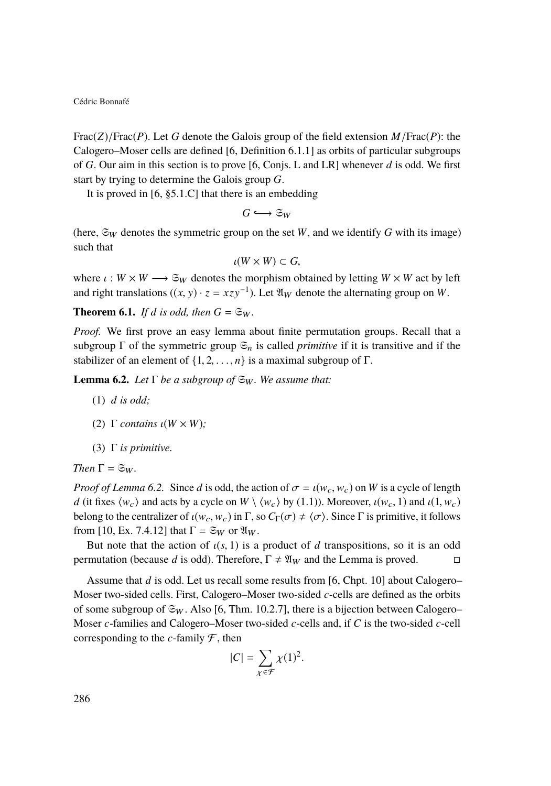Frac(*Z*)/Frac(*P*). Let *G* denote the Galois group of the field extension *M*/Frac(*P*): the Calogero–Moser cells are defined [\[6,](#page-33-0) Definition 6.1.1] as orbits of particular subgroups of *G*. Our aim in this section is to prove [\[6,](#page-33-0) Conjs. L and LR] whenever *d* is odd. We first start by trying to determine the Galois group *G*.

It is proved in [\[6,](#page-33-0) §5.1.C] that there is an embedding

$$
G \hookrightarrow \mathfrak{S}_W
$$

(here,  $\mathfrak{S}_W$  denotes the symmetric group on the set *W*, and we identify *G* with its image) such that

$$
\iota(W \times W) \subset G,
$$

where  $\iota : W \times W \longrightarrow \mathfrak{S}_W$  denotes the morphism obtained by letting  $W \times W$  act by left<br>and right translations  $((x, y), z = xzy^{-1})$ . Let  $\mathfrak{N}_{yy}$  denote the alternating group on W and right translations  $((x, y) \cdot z = xzy^{-1})$ . Let  $\mathfrak{A}_W$  denote the alternating group on *W*.

**Theorem 6.1.** *If d is odd, then*  $G = \mathfrak{S}_W$ *.* 

*Proof.* We first prove an easy lemma about finite permutation groups. Recall that a subgroup  $\Gamma$  of the symmetric group  $\mathfrak{S}_n$  is called *primitive* if it is transitive and if the stabilizer of an element of  $\{1, 2, \ldots, n\}$  is a maximal subgroup of  $\Gamma$ .

<span id="page-22-0"></span>**Lemma 6.2.** *Let*  $\Gamma$  *be a subgroup of*  $\mathfrak{S}_W$ *. We assume that:* 

- (1) *d is odd;*
- (2)  $\Gamma$  *contains*  $\iota(W \times W)$ ;
- (3) Γ *is primitive.*

Then 
$$
\Gamma = \mathfrak{S}_W
$$
.

*Proof of Lemma* [6.2.](#page-22-0) Since *d* is odd, the action of  $\sigma = \iota(w_c, w_c)$  on *W* is a cycle of length *d* (it fixes  $\langle w_c \rangle$  and acts by a cycle on  $W \setminus \langle w_c \rangle$  by [\(1.1\)](#page-3-0)). Moreover,  $\iota(w_c, 1)$  and  $\iota(1, w_c)$ belong to the centralizer of  $\iota(w_c, w_c)$  in  $\Gamma$ , so  $C_\Gamma(\sigma) \neq \langle \sigma \rangle$ . Since  $\Gamma$  is primitive, it follows from [\[10,](#page-33-10) Ex. 7.4.12] that  $\Gamma = \mathfrak{S}_W$  or  $\mathfrak{A}_W$ .

But note that the action of  $\iota(s, 1)$  is a product of *d* transpositions, so it is an odd rmutation (because *d* is odd). Therefore,  $\Gamma \neq \mathfrak{A}_{w}$  and the Lemma is proved. permutation (because *d* is odd). Therefore,  $\Gamma \neq \mathfrak{A}_W$  and the Lemma is proved.

Assume that *d* is odd. Let us recall some results from [\[6,](#page-33-0) Chpt. 10] about Calogero– Moser two-sided cells. First, Calogero–Moser two-sided *c*-cells are defined as the orbits of some subgroup of  $\mathfrak{S}_W$ . Also [\[6,](#page-33-0) Thm. 10.2.7], there is a bijection between Calogero– Moser *c*-families and Calogero–Moser two-sided *c*-cells and, if *C* is the two-sided *c*-cell corresponding to the  $c$ -family  $\mathcal F$ , then

$$
|C| = \sum_{\chi \in \mathcal{F}} \chi(1)^2.
$$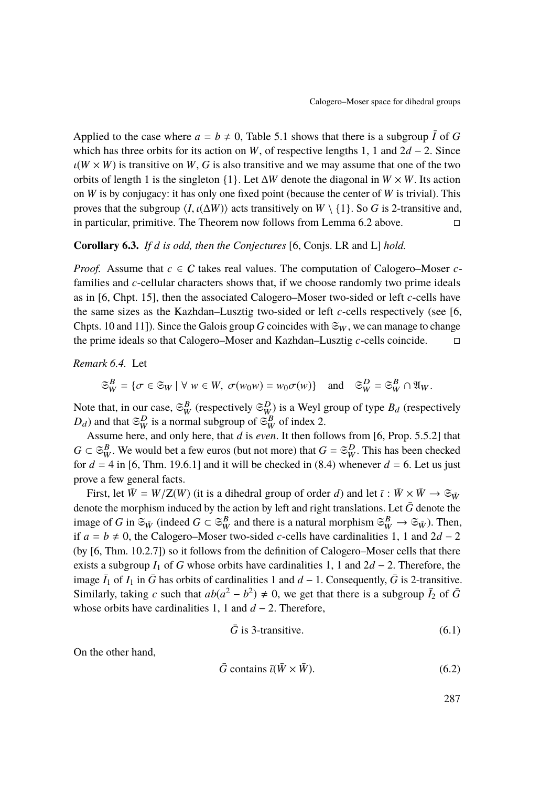Applied to the case where  $a = b \neq 0$ , Table [5.1](#page-20-0) shows that there is a subgroup  $\overline{I}$  of G which has three orbits for its action on *W*, of respective lengths 1, 1 and 2*d* − 2. Since  $\iota(W \times W)$  is transitive on *W*, *G* is also transitive and we may assume that one of the two orbits of length 1 is the singleton {1}. Let ∆*W* denote the diagonal in *W* × *W*. Its action on *W* is by conjugacy: it has only one fixed point (because the center of *W* is trivial). This proves that the subgroup  $\langle I, \iota(\Delta W) \rangle$  acts transitively on  $W \setminus \{1\}$ . So *G* is 2-transitive and, in particular, primitive. The Theorem now follows from Lemma 6.2 above. in particular, primitive. The Theorem now follows from Lemma [6.2](#page-22-0) above.

#### **Corollary 6.3.** *If d is odd, then the Conjectures* [\[6,](#page-33-0) Conjs. LR and L] *hold.*

*Proof.* Assume that  $c \in C$  takes real values. The computation of Calogero–Moser  $c$ families and *c*-cellular characters shows that, if we choose randomly two prime ideals as in [\[6,](#page-33-0) Chpt. 15], then the associated Calogero–Moser two-sided or left *c*-cells have the same sizes as the Kazhdan–Lusztig two-sided or left *c*-cells respectively (see [\[6,](#page-33-0) Chpts. 10 and 11]). Since the Galois group *G* coincides with  $\mathfrak{S}_W$ , we can manage to change the prime ideals so that Calogero–Moser and Kazhdan–Lusztig *c*-cells coincide.

<span id="page-23-0"></span>*Remark 6.4.* Let

$$
\mathfrak{S}_W^B = \{ \sigma \in \mathfrak{S}_W \mid \forall \ w \in W, \ \sigma(w_0 w) = w_0 \sigma(w) \} \quad \text{and} \quad \mathfrak{S}_W^D = \mathfrak{S}_W^B \cap \mathfrak{A}_W.
$$

Note that, in our case,  $\mathfrak{S}_W^B$  (respectively  $\mathfrak{S}_W^D$ ) is a Weyl group of type  $B_d$  (respectively  $D_d$ ) and that  $\mathfrak{S}_W^D$  is a normal subgroup of  $\mathfrak{S}_W^B$  of index 2.

Assume here, and only here, that *d* is *even*. It then follows from [\[6,](#page-33-0) Prop. 5.5.2] that  $G \subset \mathfrak{S}_{W}^{B}$ . We would bet a few euros (but not more) that  $G = \mathfrak{S}_{W}^{D}$ . This has been checked for  $d = 4$  in [\[6,](#page-33-0) Thm. 19.6.1] and it will be checked in [\(8.4\)](#page-31-0) whenever  $d = 6$ . Let us just prove a few general facts.

First, let  $\bar{W} = W/Z(W)$  (it is a dihedral group of order *d*) and let  $\bar{\iota}: \bar{W} \times \bar{W} \to \mathfrak{S}_{\bar{W}}$ denote the morphism induced by the action by left and right translations. Let  $\bar{G}$  denote the image of *G* in  $\mathfrak{S}_{\bar{W}}$  (indeed  $G \subset \mathfrak{S}_W^B$  and there is a natural morphism  $\mathfrak{S}_W^B \to \mathfrak{S}_{\bar{W}}$ ). Then, if  $a = b ≠ 0$ , the Calogero–Moser two-sided *c*-cells have cardinalities 1, 1 and  $2d - 2$ (by [\[6,](#page-33-0) Thm. 10.2.7]) so it follows from the definition of Calogero–Moser cells that there exists a subgroup *I*<sup>1</sup> of *G* whose orbits have cardinalities 1, 1 and 2*d* − 2. Therefore, the image  $\bar{I}_1$  of  $I_1$  in  $\bar{G}$  has orbits of cardinalities 1 and  $d-1$ . Consequently,  $\bar{G}$  is 2-transitive. Similarly, taking *c* such that  $ab(a^2 - b^2) \neq 0$ , we get that there is a subgroup  $\bar{I}_2$  of  $\bar{G}$ whose orbits have cardinalities 1, 1 and *d* − 2. Therefore,

$$
\bar{G} \text{ is 3-transitive.} \tag{6.1}
$$

On the other hand,

$$
\bar{G} \text{ contains } \bar{\iota}(\bar{W} \times \bar{W}). \tag{6.2}
$$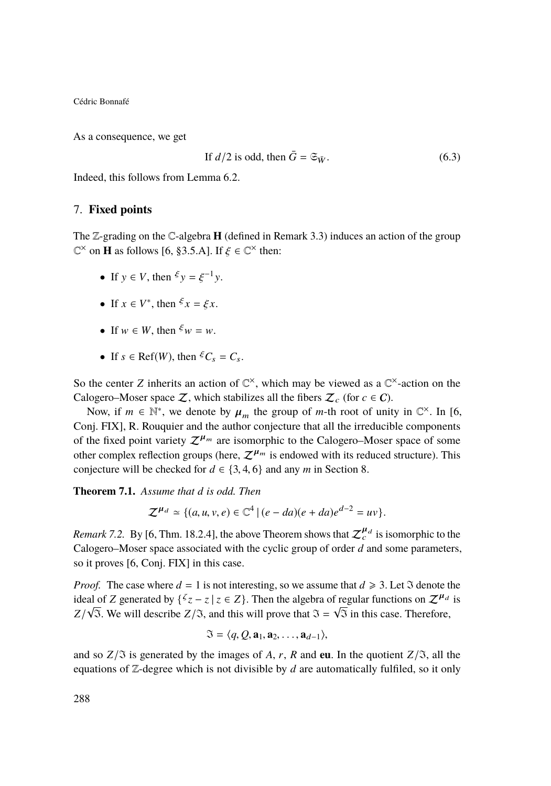As a consequence, we get

If 
$$
d/2
$$
 is odd, then  $\bar{G} = \mathfrak{S}_{\bar{W}}.$  (6.3)

Indeed, this follows from Lemma [6.2.](#page-22-0)

#### <span id="page-24-1"></span>7. **Fixed points**

The Z-grading on the C-algebra **H** (defined in Remark [3.3\)](#page-11-1) induces an action of the group  $\mathbb{C}^{\times}$  on **H** as follows [\[6,](#page-33-0) §3.5.A]. If  $\xi \in \mathbb{C}^{\times}$  then:

- If  $y \in V$ , then  $\xi y = \xi^{-1} y$ .
- If  $x \in V^*$ , then  $\xi x = \xi x$ .
- If  $w \in W$ , then  $\xi w = w$ .
- If  $s \in \text{Ref}(W)$ , then  ${}^{\xi}C_s = C_s$ .

So the center *Z* inherits an action of  $\mathbb{C}^{\times}$ , which may be viewed as a  $\mathbb{C}^{\times}$ -action on the Calogero–Moser space Z, which stabilizes all the fibers  $\mathcal{Z}_c$  (for  $c \in \mathcal{C}$ ).

Now, if  $m \in \mathbb{N}^*$ , we denote by  $\mu_m$  the group of *m*-th root of unity in  $\mathbb{C}^{\times}$ . In [\[6,](#page-33-0) ni EIX] **P**. Powerwise and the author conjecture that all the irreducible components Conj. FIX], R. Rouquier and the author conjecture that all the irreducible components of the fixed point variety  $\mathcal{Z}^{\mu_m}$  are isomorphic to the Calogero–Moser space of some other complex reflection groups (here,  $\mathcal{Z}^{\mu_m}$  is endowed with its reduced structure). This conjecture will be checked for  $d \in \{3, 4, 6\}$  and any *m* in Section [8.](#page-25-0)

<span id="page-24-0"></span>**Theorem 7.1.** *Assume that d is odd. Then*

$$
\mathcal{Z}^{\mu_d} \simeq \{ (a, u, v, e) \in \mathbb{C}^4 \mid (e - da)(e + da)e^{d-2} = uv \}.
$$

*Remark 7.2.* By [\[6,](#page-33-0) Thm. 18.2.4], the above Theorem shows that  $\mathcal{Z}_c^{\mu_d}$  is isomorphic to the Calogero–Moser space associated with the cyclic group of order *d* and some parameters, so it proves [\[6,](#page-33-0) Conj. FIX] in this case.

*Proof.* The case where  $d = 1$  is not interesting, so we assume that  $d \ge 3$ . Let  $\Im$  denote the ideal of *Z* generated by  $\{\zeta z - z \mid z \in Z\}$ . Then the algebra of regular functions on  $Z^{\mu_d}$  is  $Z/\sqrt{3}$ . We will describe  $Z/\Im$ , and this will prove that  $\Im = \sqrt{3}$  in this case. Therefore,

$$
\mathfrak{I}=\langle q, Q, \mathbf{a}_1, \mathbf{a}_2, \ldots, \mathbf{a}_{d-1} \rangle,
$$

and so  $Z/\Im$  is generated by the images of *A*, *r*, *R* and **eu**. In the quotient  $Z/\Im$ , all the equations of Z-degree which is not divisible by *d* are automatically fulfiled, so it only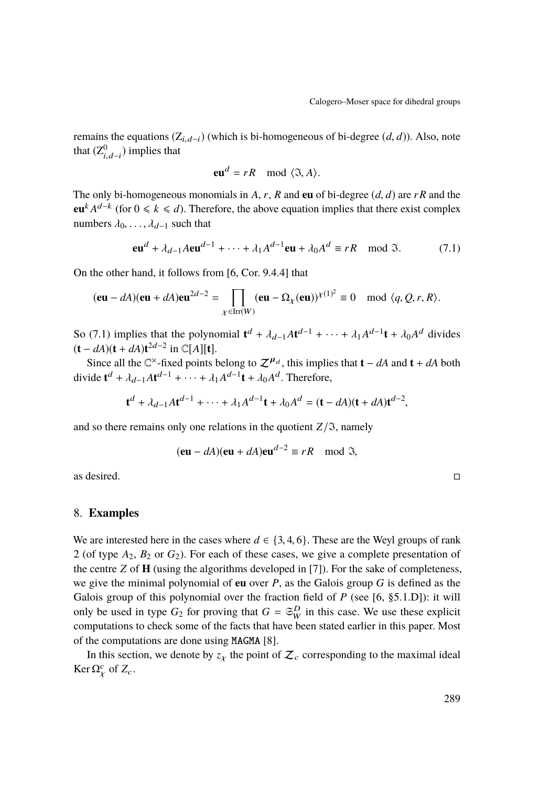remains the equations  $(Z_{i,d-i})$  (which is bi-homogeneous of bi-degree  $(d, d)$ ). Also, note that  $(Z_{i,d-i}^0)$  implies that

$$
\mathbf{eu}^d = rR \mod \langle \mathfrak{I}, A \rangle.
$$

The only bi-homogeneous monomials in *<sup>A</sup>*, *<sup>r</sup>*, *<sup>R</sup>* and **eu** of bi-degree (*d*, *<sup>d</sup>*) are *rR* and the **eu**<sup>k</sup> *A*<sup>*d*−k</sup> (for 0 ≤ *k* ≤ *d*). Therefore, the above equation implies that there exist complex numbers  $\lambda_0, \ldots, \lambda_{d-1}$  such that

<span id="page-25-1"></span>
$$
\mathbf{eu}^d + \lambda_{d-1} A \mathbf{eu}^{d-1} + \dots + \lambda_1 A^{d-1} \mathbf{eu} + \lambda_0 A^d \equiv rR \mod 3. \tag{7.1}
$$

On the other hand, it follows from [\[6,](#page-33-0) Cor. 9.4.4] that

$$
(\mathbf{eu} - d\mathbf{A})(\mathbf{eu} + d\mathbf{A})\mathbf{eu}^{2d-2} = \prod_{\chi \in \operatorname{Irr}(W)} (\mathbf{eu} - \Omega_{\chi}(\mathbf{eu}))^{\chi(1)^2} \equiv 0 \mod \langle q, Q, r, R \rangle.
$$

So [\(7.1\)](#page-25-1) implies that the polynomial  $\mathbf{t}^{d} + \lambda_{d-1} A \mathbf{t}^{d-1} + \cdots + \lambda_{1} A^{d-1} \mathbf{t} + \lambda_{0} A^{d}$  divides  $( \mathbf{t} - dA)(\mathbf{t} + dA)^{d-2}$  in  $\mathbb{C}[\![A]\!]$  $(t - dA)(t + dA)t^{2d-2}$  in ℂ[A][**t**].

Since all the  $\mathbb{C}^{\times}$ -fixed points belong to  $\mathcal{Z}^{\mu_d}$ , this implies that **t** − *dA* and **t** + *dA* both divide  $\mathbf{t}^d + \lambda_{d-1} A \mathbf{t}^{d-1} + \cdots + \lambda_1 A^{d-1} \mathbf{t} + \lambda_0 A^d$ . Therefore,

$$
\mathbf{t}^{d} + \lambda_{d-1} A \mathbf{t}^{d-1} + \cdots + \lambda_1 A^{d-1} \mathbf{t} + \lambda_0 A^{d} = (\mathbf{t} - dA)(\mathbf{t} + dA)\mathbf{t}^{d-2},
$$

and so there remains only one relations in the quotient  $Z/\mathfrak{I}$ , namely

$$
(\mathbf{eu} - dA)(\mathbf{eu} + dA)\mathbf{eu}^{d-2} \equiv rR \mod 3,
$$

as desired.  $\Box$ 

#### <span id="page-25-0"></span>8. **Examples**

We are interested here in the cases where  $d \in \{3, 4, 6\}$ . These are the Weyl groups of rank 2 (of type *A*2, *B*<sup>2</sup> or *G*2). For each of these cases, we give a complete presentation of the centre *Z* of **H** (using the algorithms developed in [\[7\]](#page-33-4)). For the sake of completeness, we give the minimal polynomial of **eu** over *P*, as the Galois group *G* is defined as the Galois group of this polynomial over the fraction field of *P* (see [\[6,](#page-33-0) §5.1.D]): it will only be used in type  $G_2$  for proving that  $G = \mathfrak{S}_{W}^D$  in this case. We use these explicit computations to check some of the facts that have been stated earlier in this paper. Most of the computations are done using MAGMA [\[8\]](#page-33-5).

In this section, we denote by  $z<sub>X</sub>$  the point of  $\mathcal{Z}<sub>c</sub>$  corresponding to the maximal ideal Ker  $\Omega^c_\chi$  of  $Z_c$ .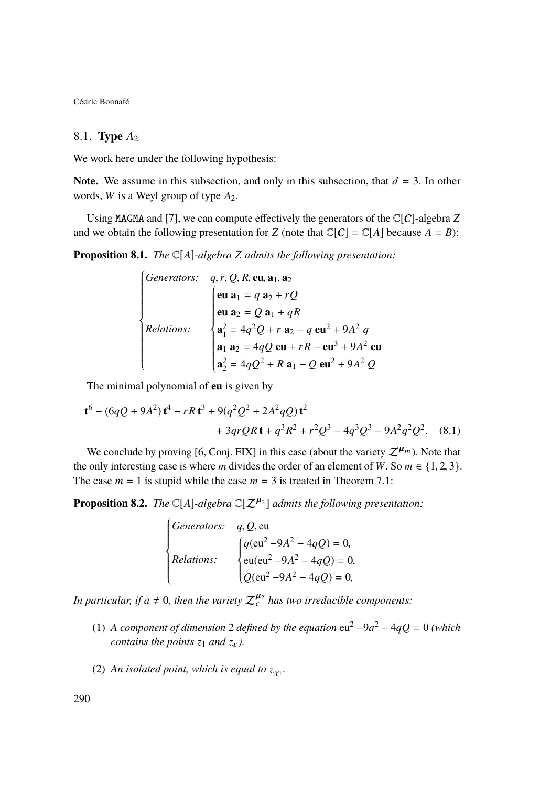## 8.1. **Type** *A*<sup>2</sup>

We work here under the following hypothesis:

**Note.** We assume in this subsection, and only in this subsection, that  $d = 3$ . In other words, *W* is a Weyl group of type *A*2.

Using MAGMA and [\[7\]](#page-33-4), we can compute effectively the generators of the C[C]-algebra *Z* and we obtain the following presentation for *Z* (note that  $\mathbb{C}[C] = \mathbb{C}[A]$  because  $A = B$ ):

**Proposition 8.1.** *The* C[*A*]*-algebra Z admits the following presentation:*

$$
\begin{cases}\n\text{Generators:} & q, r, Q, R, \text{eu}, \mathbf{a}_1, \mathbf{a}_2 \\
\text{eu } \mathbf{a}_1 = q \ \mathbf{a}_2 + rQ \\
\text{eu } \mathbf{a}_2 = Q \ \mathbf{a}_1 + qR \\
\text{Relationship:} \\
\mathbf{a}_1^2 = 4q^2Q + r \ \mathbf{a}_2 - q \ \text{eu}^2 + 9A^2 \ q \\
\mathbf{a}_1 \ \mathbf{a}_2 = 4qQ \ \text{eu} + rR - \text{eu}^3 + 9A^2 \ \text{eu} \\
\mathbf{a}_2^2 = 4qQ^2 + R \ \mathbf{a}_1 - Q \ \text{eu}^2 + 9A^2 \ Q\n\end{cases}
$$

J The minimal polynomial of **eu** is given by

$$
\mathbf{t}^{6} - (6qQ + 9A^{2})\mathbf{t}^{4} - rR\mathbf{t}^{3} + 9(q^{2}Q^{2} + 2A^{2}qQ)\mathbf{t}^{2} + 3qrQR\mathbf{t} + q^{3}R^{2} + r^{2}Q^{3} - 4q^{3}Q^{3} - 9A^{2}q^{2}Q^{2}.
$$
 (8.1)

We conclude by proving [\[6,](#page-33-0) Conj. FIX] in this case (about the variety  $\mathcal{Z}^{\mu_m}$ ). Note that the only interesting case is where *m* divides the order of an element of *W*. So  $m \in \{1, 2, 3\}$ . The case  $m = 1$  is stupid while the case  $m = 3$  is treated in Theorem [7.1:](#page-24-0)

**Proposition 8.2.** *The*  $\mathbb{C}[A]$ *-algebra*  $\mathbb{C}[\mathcal{Z}^{\mu_2}]$  *admits the following presentation:* 

*Generators: q*, *Q*, eu  
\n*Relationships:* 
$$
\begin{cases}\nq(\text{eu}^2 - 9A^2 - 4qQ) = 0, \\
\text{eu}(\text{eu}^2 - 9A^2 - 4qQ) = 0, \\
Q(\text{eu}^2 - 9A^2 - 4qQ) = 0,\n\end{cases}
$$

In particular, if  $a \neq 0$ , then the variety  $\mathcal{Z}_c^{\mu_2}$  has two irreducible components:

- (1) *A component of dimension* 2 *defined by the equation*  $eu^2 9a^2 4qQ = 0$  *(which contains the points*  $z_1$  *and*  $z_{\varepsilon}$ *).*
- (2) An isolated point, which is equal to  $z_{\chi_1}$ .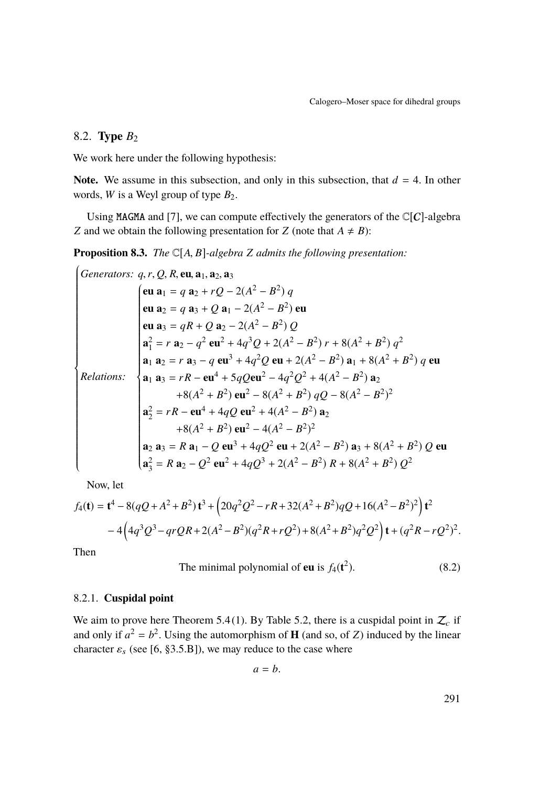## 8.2. **Type** *B*<sup>2</sup>

We work here under the following hypothesis:

**Note.** We assume in this subsection, and only in this subsection, that  $d = 4$ . In other words, *W* is a Weyl group of type  $B_2$ .

Using MAGMA and [\[7\]](#page-33-4), we can compute effectively the generators of the  $\mathbb{C}[C]$ -algebra *Z* and we obtain the following presentation for *Z* (note that  $A \neq B$ ):

<span id="page-27-0"></span>**Proposition 8.3.** *The*  $\mathbb{C}[A, B]$ *-algebra Z admits the following presentation:*<br> $\int_C$ 

$$
\begin{cases}\n\text{Generators: } q, r, Q, R, \text{eu}, \mathbf{a}_1, \mathbf{a}_2, \mathbf{a}_3 \\
\text{eu } \mathbf{a}_1 = q \mathbf{a}_2 + rQ - 2(A^2 - B^2) q \\
\text{eu } \mathbf{a}_2 = q \mathbf{a}_3 + Q \mathbf{a}_1 - 2(A^2 - B^2) \text{eu} \\
\text{eu } \mathbf{a}_3 = qR + Q \mathbf{a}_2 - 2(A^2 - B^2) Q \\
\mathbf{a}_1^2 = r \mathbf{a}_2 - q^2 \mathbf{eu}^2 + 4q^3Q + 2(A^2 - B^2) r + 8(A^2 + B^2) q^2 \\
\mathbf{a}_1 \mathbf{a}_2 = r \mathbf{a}_3 - q \mathbf{eu}^3 + 4q^2Q \mathbf{eu} + 2(A^2 - B^2) \mathbf{a}_1 + 8(A^2 + B^2) q \mathbf{eu} \\
\text{Relationship: } \begin{cases}\n\mathbf{a}_1 \mathbf{a}_2 = r \mathbf{a}_3 - q \mathbf{eu}^3 + 4q^2Q \mathbf{eu} + 2(A^2 - B^2) \mathbf{a}_1 + 8(A^2 + B^2) q^2 \\
\mathbf{a}_1 \mathbf{a}_3 = rR - \mathbf{eu}^4 + 5qQ \mathbf{eu}^2 - 4q^2Q^2 + 4(A^2 - B^2) \mathbf{a}_2 \\
+ 8(A^2 + B^2) \mathbf{eu}^2 - 8(A^2 + B^2) qQ - 8(A^2 - B^2)^2 \\
\mathbf{a}_2^2 = rR - \mathbf{eu}^4 + 4qQ \mathbf{eu}^2 + 4(A^2 - B^2) \mathbf{a}_2 \\
+ 8(A^2 + B^2) \mathbf{eu}^2 - 4(A^2 - B^2)^2\n\end{cases}
$$
\n
$$
\mathbf{a}_2 \mathbf{a}_3 = R \mathbf{a}_1 - Q \mathbf{eu}^3 + 4qQ^2 \mathbf{eu} + 2(A^2 - B^2) \mathbf{a}_3 + 8(A^2 + B^2) Q \mathbf{eu}^2
$$
\n
$$
\mathbf{a}_3^2 = R \mathbf{a}_2 - Q^2 \mathbf{eu}^2 + 4qQ^3 + 2(A^2 - B^2)
$$

Now, let

$$
f_4(\mathbf{t}) = \mathbf{t}^4 - 8(qQ + A^2 + B^2)\mathbf{t}^3 + (20q^2Q^2 - rR + 32(A^2 + B^2)qQ + 16(A^2 - B^2)^2)\mathbf{t}^2
$$
  
- 4(4q<sup>3</sup>Q<sup>3</sup> - qrQR + 2(A<sup>2</sup> - B<sup>2</sup>)(q<sup>2</sup>R + rQ<sup>2</sup>) + 8(A<sup>2</sup> + B<sup>2</sup>)q<sup>2</sup>Q<sup>2</sup>) $\mathbf{t} + (q^2R - rQ^2)^2$ .

Then

The minimal polynomial of **eu** is 
$$
f_4(t^2)
$$
. (8.2)

#### 8.2.1. **Cuspidal point**

We aim to prove here Theorem [5.4](#page-21-1)[\(1\)](#page-21-2). By Table [5.2,](#page-21-0) there is a cuspidal point in  $\mathcal{Z}_c$  if and only if  $a^2 = b^2$ . Using the automorphism of **H** (and so, of *Z*) induced by the linear character  $\varepsilon_s$  (see [\[6,](#page-33-0) §3.5.B]), we may reduce to the case where

$$
a=b.
$$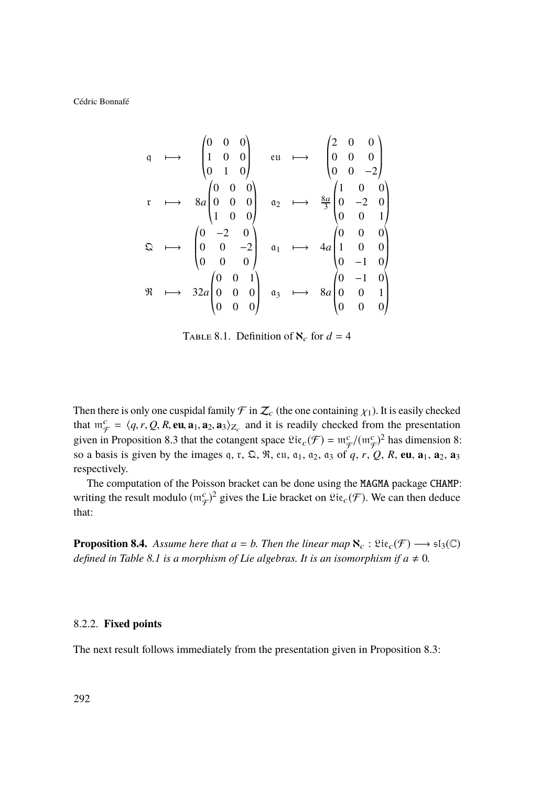$$
\begin{array}{ccccccccc}\n\mathfrak{q} & \longmapsto & \begin{pmatrix} 0 & 0 & 0 \\ 1 & 0 & 0 \\ 0 & 1 & 0 \end{pmatrix} & \text{eu} & \longmapsto & \begin{pmatrix} 2 & 0 & 0 \\ 0 & 0 & 0 \\ 0 & 0 & -2 \end{pmatrix} \\
\mathfrak{r} & \longmapsto & 8a \begin{pmatrix} 0 & 0 & 0 \\ 0 & 0 & 0 \\ 1 & 0 & 0 \end{pmatrix} & \mathfrak{a}_2 & \longmapsto & \frac{8a}{3} \begin{pmatrix} 1 & 0 & 0 \\ 0 & -2 & 0 \\ 0 & 0 & 1 \end{pmatrix} \\
\mathfrak{Q} & \longmapsto & \begin{pmatrix} 0 & -2 & 0 \\ 0 & 0 & -2 \\ 0 & 0 & 0 \end{pmatrix} & \mathfrak{a}_1 & \longmapsto & 4a \begin{pmatrix} 0 & 0 & 0 \\ 1 & 0 & 0 \\ 0 & -1 & 0 \end{pmatrix} \\
\mathfrak{R} & \longmapsto & 32a \begin{pmatrix} 0 & 0 & 1 \\ 0 & 0 & 0 \\ 0 & 0 & 0 \end{pmatrix} & \mathfrak{a}_3 & \longmapsto & 8a \begin{pmatrix} 0 & -1 & 0 \\ 0 & 0 & 1 \\ 0 & 0 & 0 \end{pmatrix}\n\end{array}
$$

<span id="page-28-0"></span>TABLE 8.1. Definition of  $\aleph_c$  for  $d = 4$ 

Then there is only one cuspidal family  $\mathcal F$  in  $\mathcal Z_c$  (the one containing  $\chi_1$ ). It is easily checked that  $m_{\mathcal{F}}^c = \langle q, r, Q, R, \textbf{eu}, \mathbf{a}_1, \mathbf{a}_2, \mathbf{a}_3 \rangle_{Z_c}$  and it is readily checked from the presentation<br>given in Proposition 8.2 that the actement gross  $\Omega$  is  $(\mathcal{F}) = m_c^c / (m_c^c)^2$  has dimension 8. given in Proposition [8.3](#page-27-0) that the cotangent space  $\mathfrak{Lie}_c(\mathcal{F}) = \mathfrak{m}_{\mathcal{F}}^c/(\mathfrak{m}_{\mathcal{F}}^c)^2$  has dimension 8: so a basis is given by the images q, r,  $\Omega$ ,  $\Re$ , eu,  $a_1$ ,  $a_2$ ,  $a_3$  of  $q$ ,  $r$ ,  $Q$ ,  $R$ , eu,  $a_1$ ,  $a_2$ ,  $a_3$ respectively.

The computation of the Poisson bracket can be done using the MAGMA package CHAMP: writing the result modulo  $(\mathfrak{m}^c_{\mathcal{F}})^2$  gives the Lie bracket on  $\mathfrak{Lie}_c(\mathcal{F})$ . We can then deduce that:

**Proposition 8.4.** *Assume here that*  $a = b$ *. Then the linear map*  $\aleph_c : \mathfrak{Lie}_c(\mathcal{F}) \longrightarrow \mathfrak{sl}_3(\mathbb{C})$ *defined in Table* [8.1](#page-28-0) *is a morphism of Lie algebras. It is an isomorphism if*  $a \neq 0$ *.* 

#### 8.2.2. **Fixed points**

The next result follows immediately from the presentation given in Proposition [8.3:](#page-27-0)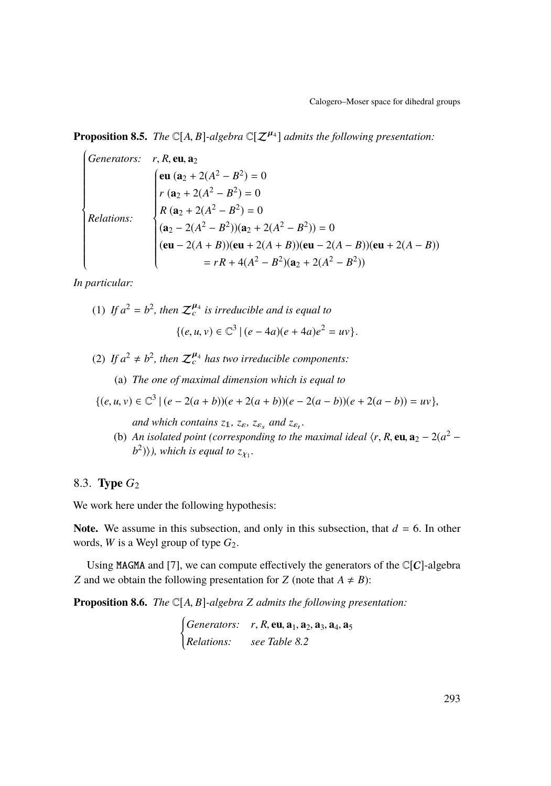**Proposition 8.5.** *The*  $\mathbb{C}[A, B]$ *-algebra*  $\mathbb{C}[\mathcal{Z}^{\mu_4}]$  *admits the following presentation:* 

$$
\begin{cases}\n\text{Generators:} & r, R, \text{eu, } \mathbf{a}_2 \\
\text{eu } (\mathbf{a}_2 + 2(A^2 - B^2) = 0 \\
r (\mathbf{a}_2 + 2(A^2 - B^2)) = 0 \\
R (\mathbf{a}_2 + 2(A^2 - B^2)) (\mathbf{a}_2 + 2(A^2 - B^2)) = 0 \\
(\mathbf{a}_2 - 2(A^2 - B^2)) (\mathbf{a}_2 + 2(A^2 - B^2)) = 0 \\
(\text{eu} - 2(A + B)) (\text{eu} + 2(A + B)) (\text{eu} - 2(A - B)) (\text{eu} + 2(A - B)) \\
&= rR + 4(A^2 - B^2)(\mathbf{a}_2 + 2(A^2 - B^2))\n\end{cases}
$$

*In particular:*

(1) If  $a^2 = b^2$ , then  $\mathcal{Z}_c^{\mu_4}$  is irreducible and is equal to  $\{(e, u, v) \in \mathbb{C}^3 \mid (e - 4a)(e + 4a)e^2 = uv\}.$ 

(2) If  $a^2 \neq b^2$ , then  $\mathcal{Z}_c^{\mu_4}$  has two irreducible components:

(a) *The one of maximal dimension which is equal to*

$$
\{(e, u, v) \in \mathbb{C}^3 \mid (e - 2(a + b))(e + 2(a + b))(e - 2(a - b))(e + 2(a - b)) = uv\},\
$$

*and which contains*  $z_1$ *,*  $z_{\varepsilon}$ *,*  $z_{\varepsilon_s}$  *and*  $z_{\varepsilon_t}$ *.* 

(b) *An isolated point (corresponding to the maximal ideal*  $\langle r, R, \textbf{eu}, \textbf{a}_2 - 2(a^2 - h^2) \rangle$ ) which is *acual* to  $\tau$ .  $(b^2)$  $\rangle$ ), which is equal to  $z_{\chi_1}$ .

## 8.3. **Type** *G*<sup>2</sup>

We work here under the following hypothesis:

**Note.** We assume in this subsection, and only in this subsection, that  $d = 6$ . In other words, *W* is a Weyl group of type *G*2.

Using MAGMA and [\[7\]](#page-33-4), we can compute effectively the generators of the  $\mathbb{C}[C]$ -algebra *Z* and we obtain the following presentation for *Z* (note that  $A \neq B$ ):

<span id="page-29-0"></span>**Proposition 8.6.** *The* <sup>C</sup>[*A*, *<sup>B</sup>*]*-algebra <sup>Z</sup> admits the following presentation:*

( *Generators: <sup>r</sup>*, *<sup>R</sup>*, **eu**, **<sup>a</sup>**1, **<sup>a</sup>**2, **<sup>a</sup>**3, **<sup>a</sup>**4, **<sup>a</sup>**<sup>5</sup> *Relations: see Table [8.2](#page-30-0)*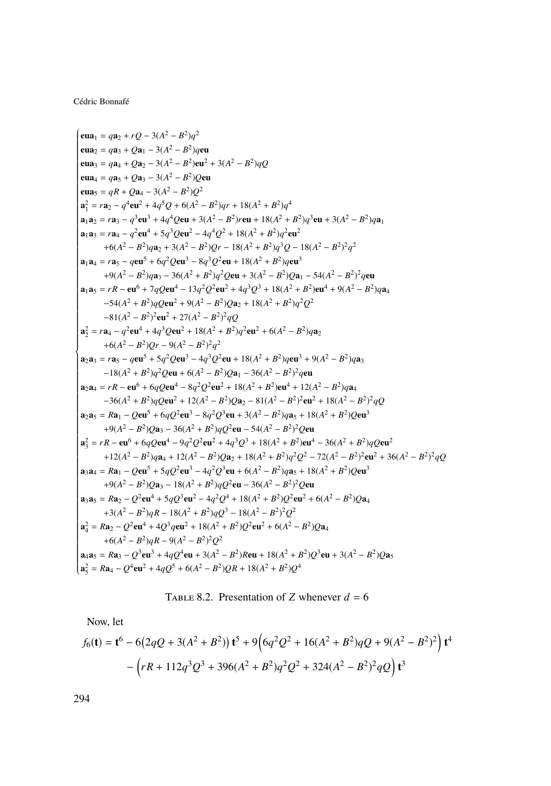$$
(au1 = qa2 + rQ – 3(A2 – B2)q2\n
$$
cu3 = qa3 + Qa1 – 3(A2 – B2)qu2 + 3(A2 – B2)qQ
$$
\n
$$
cu4 = qa5 + Qa3 – 3(A2 – B2)Qu2 + 3(A2 – B2)qQ
$$
\n
$$
cu4 = qa5 + Qa4 – 3(A2 – B2)Qu2
$$
\n
$$
a12 = r a2 - q4eu2 + 4q5Q + e(A2 – B2)q + 18(A2 + B2)q3du + 3(A2 – B2)qa1
$$
\n
$$
a1a2 = r a3 - q3eu3 + 4q4Qeu + 3(A2 – B2)Peu + 18(A2 + B2)q2eu + 3(A2 – B2)qa1
$$
\n
$$
a1a3 = r a4 - q2eu3 + 4q4Qeu3 – 3q2Qevu + 18(A2 + B2)q2eu3
$$
\n
$$
+9(A2 – B2)qa3 – 36(A2 + B2
$$
$$

<span id="page-30-0"></span>TABLE 8.2. Presentation of Z whenever 
$$
d = 6
$$

Now, let

$$
f_6(\mathbf{t}) = \mathbf{t}^6 - 6(2qQ + 3(A^2 + B^2)) \mathbf{t}^5 + 9(6q^2Q^2 + 16(A^2 + B^2)qQ + 9(A^2 - B^2)^2) \mathbf{t}^4
$$

$$
- (rR + 112q^3Q^3 + 396(A^2 + B^2)q^2Q^2 + 324(A^2 - B^2)^2qQ) \mathbf{t}^3
$$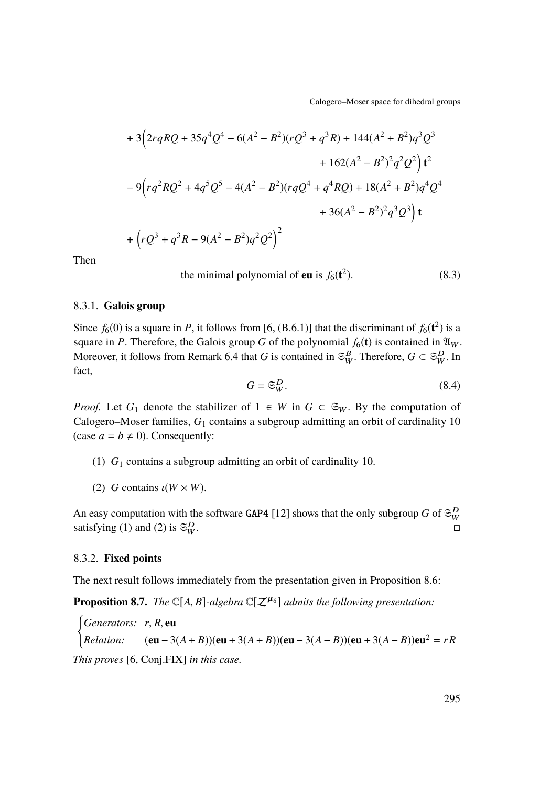Calogero–Moser space for dihedral groups

$$
+ 3(2rqRQ + 35q^{4}Q^{4} - 6(A^{2} - B^{2})(rQ^{3} + q^{3}R) + 144(A^{2} + B^{2})q^{3}Q^{3}
$$
  
+ 162(A<sup>2</sup> - B<sup>2</sup>)<sup>2</sup>q<sup>2</sup>Q<sup>2</sup>) $\mathbf{t}^{2}$   
- 9(rq<sup>2</sup>RQ<sup>2</sup> + 4q<sup>5</sup>Q<sup>5</sup> - 4(A<sup>2</sup> - B<sup>2</sup>)(rqQ<sup>4</sup> + q<sup>4</sup>RQ) + 18(A<sup>2</sup> + B<sup>2</sup>)q<sup>4</sup>Q<sup>4</sup>  
+ 36(A<sup>2</sup> - B<sup>2</sup>)<sup>2</sup>q<sup>3</sup>Q<sup>3</sup>) $\mathbf{t}$   
+ (rQ<sup>3</sup> + q<sup>3</sup>R - 9(A<sup>2</sup> - B<sup>2</sup>)q<sup>2</sup>Q<sup>2</sup>)<sup>2</sup>

Then

the minimal polynomial of **eu** is  $f_6(t^2)$  $(8.3)$ 

#### 8.3.1. **Galois group**

Since  $f_6(0)$  is a square in *P*, it follows from [\[6,](#page-33-0) (B.6.1)] that the discriminant of  $f_6(t^2)$  is a square in *P*. Therefore, the Galois group *G* of the polynomial  $f_6(t)$  is contained in  $\mathfrak{A}_W$ . Moreover, it follows from Remark [6.4](#page-23-0) that *G* is contained in  $\mathfrak{S}_{W}^B$ . Therefore,  $G \subset \mathfrak{S}_{W}^D$ . In fact,

<span id="page-31-0"></span>
$$
G = \mathfrak{S}_W^D. \tag{8.4}
$$

*Proof.* Let  $G_1$  denote the stabilizer of  $1 \in W$  in  $G \subset \mathfrak{S}_W$ . By the computation of Calogero–Moser families, *G*<sup>1</sup> contains a subgroup admitting an orbit of cardinality 10 (case  $a = b \neq 0$ ). Consequently:

- <span id="page-31-1"></span>(1) *G*<sup>1</sup> contains a subgroup admitting an orbit of cardinality 10.
- <span id="page-31-2"></span>(2) *G* contains  $\iota(W \times W)$ .

An easy computation with the software GAP4 [\[12\]](#page-34-4) shows that the only subgroup *G* of  $\mathfrak{S}_{W}^{D}$ satisfying [\(1\)](#page-31-1) and [\(2\)](#page-31-2) is  $\mathfrak{S}_{W}^{D}$ .  $\overline{W}$  .  $\square$ 

#### 8.3.2. **Fixed points**

The next result follows immediately from the presentation given in Proposition [8.6:](#page-29-0)

**Proposition 8.7.** *The*  $\mathbb{C}[A, B]$ *-algebra*  $\mathbb{C}[\mathcal{Z}^{\mu_6}]$  *admits the following presentation:* 

*Senerators:*  $r, R$ , **eu**<br> *Relation:* **(eu** – 3(*A* + *B*))(**eu** + 3(*A* + *B*))(**eu** – 3(*A* – *B*))(**eu** + 3(*A* – *B*))**eu**<sup>2</sup> = *rR This proves* [\[6,](#page-33-0) Conj.FIX] *in this case.*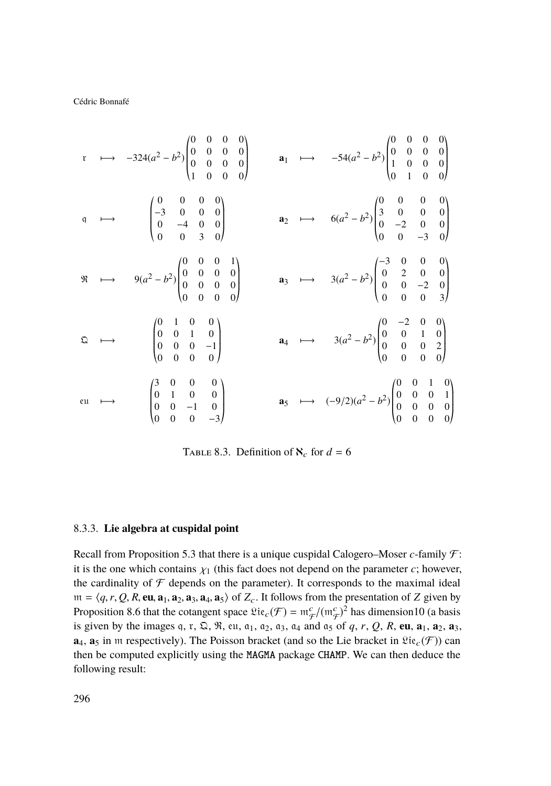$$
\begin{array}{ccccccccc}\n\text{r} & \longrightarrow & -324(a^2 - b^2) \begin{pmatrix} 0 & 0 & 0 & 0 \\ 0 & 0 & 0 & 0 \\ 0 & 0 & 0 & 0 \\ 1 & 0 & 0 & 0 \end{pmatrix} & \text{a}_1 & \longrightarrow & -54(a^2 - b^2) \begin{pmatrix} 0 & 0 & 0 & 0 \\ 0 & 0 & 0 & 0 \\ 1 & 0 & 0 & 0 \\ 1 & 0 & 0 & 0 \end{pmatrix} \\
\text{q} & \longrightarrow & \begin{pmatrix} 0 & 0 & 0 & 0 \\ -3 & 0 & 0 & 0 \\ 0 & -4 & 0 & 0 \\ 0 & 0 & 3 & 0 \end{pmatrix} & \text{a}_2 & \longrightarrow & 6(a^2 - b^2) \begin{pmatrix} 0 & 0 & 0 & 0 \\ 3 & 0 & 0 & 0 \\ 0 & -2 & 0 & 0 \\ 0 & 0 & -3 & 0 \end{pmatrix} \\
\text{R} & \longrightarrow & \begin{pmatrix} 0 & 0 & 0 & 1 \\ 0 & 0 & 0 & 0 \\ 0 & 0 & 0 & 0 \end{pmatrix} & \text{a}_3 & \longrightarrow & 3(a^2 - b^2) \begin{pmatrix} -3 & 0 & 0 & 0 \\ 0 & 2 & 0 & 0 \\ 0 & 0 & -2 & 0 \\ 0 & 0 & 0 & 3 \end{pmatrix} \\
\text{Q} & \longrightarrow & \begin{pmatrix} 0 & 1 & 0 & 0 \\ 0 & 0 & 1 & 0 \\ 0 & 0 & 0 & 0 \end{pmatrix} & \text{a}_4 & \longrightarrow & 3(a^2 - b^2) \begin{pmatrix} 0 & -2 & 0 & 0 \\ 0 & 2 & 1 & 0 \\ 0 & 0 & 0 & 2 \\ 0 & 0 & 0 & 0 \end{pmatrix} \\
\text{eu} & \longrightarrow & \begin{pmatrix} 3 & 0 & 0 & 0 \\ 0 & 1 & 0 & 0 \\ 0 & 0 & -1 & 0 \\ 0 & 0 & 0 & -3 \end{pmatrix} & \text{a}_5 & \longrightarrow & (-9/2)(a^2 - b^2) \begin{pmatrix} 0 & 0 & 1 & 0 \\ 0 & 0 & 0 & 1 \\ 0 & 0 & 0 & 0 \\ 0 & 0 & 0 & 0 \end{pmatrix} \\
\end{array}
$$

<span id="page-32-0"></span>TABLE 8.3. Definition of  $\aleph_c$  for  $d = 6$ 

#### 8.3.3. **Lie algebra at cuspidal point**

Recall from Proposition [5.3](#page-20-2) that there is a unique cuspidal Calogero–Moser *c*-family F: it is the one which contains  $\chi_1$  (this fact does not depend on the parameter *c*; however, the cardinality of  $\mathcal F$  depends on the parameter). It corresponds to the maximal ideal  $m = \langle q, r, Q, R, \textbf{eu}, \textbf{a}_1, \textbf{a}_2, \textbf{a}_3, \textbf{a}_4, \textbf{a}_5 \rangle$  of  $Z_c$ . It follows from the presentation of *Z* given by Proposition [8.6](#page-29-0) that the cotangent space  $\mathfrak{Lie}_c(\mathcal{F}) = \mathfrak{m}_{\mathcal{F}}^c/(\mathfrak{m}_{\mathcal{F}}^c)^2$  has dimension10 (a basis is given by the images q, r,  $\Omega$ ,  $\Re$ , eu,  $a_1$ ,  $a_2$ ,  $a_3$ ,  $a_4$  and  $a_5$  of q, r, Q, R, eu,  $a_1$ ,  $a_2$ ,  $a_3$ ,  $\mathbf{a}_4$ ,  $\mathbf{a}_5$  in m respectively). The Poisson bracket (and so the Lie bracket in  $\mathfrak{Lie}_c(\mathcal{F})$ ) can then be computed explicitly using the MAGMA package CHAMP. We can then deduce the following result: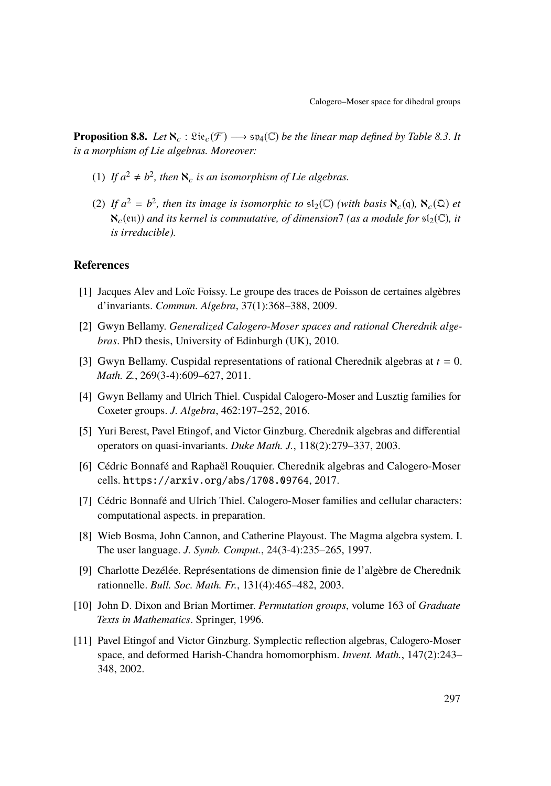**Proposition 8.8.** *Let*  $\aleph_c : \mathfrak{Lie}_c(\mathcal{F}) \longrightarrow \mathfrak{sp}_4(\mathbb{C})$  *be the linear map defined by Table [8.3.](#page-32-0) It is a morphism of Lie algebras. Moreover:*

- (1) If  $a^2 \neq b^2$ , then  $\aleph_c$  is an isomorphism of Lie algebras.
- (2) If  $a^2 = b^2$ , then its image is isomorphic to  $\mathfrak{sl}_2(\mathbb{C})$  (with basis  $\aleph_c(\mathfrak{q})$ ,  $\aleph_c(\mathfrak{Q})$  et  $\aleph_c$ (eu)) and its kernel is commutative, of dimension7 (as a module for  $\mathfrak{sl}_2(\mathbb{C})$ , it *is irreducible).*

### **References**

- <span id="page-33-3"></span>[1] Jacques Alev and Loïc Foissy. Le groupe des traces de Poisson de certaines algèbres d'invariants. *Commun. Algebra*, 37(1):368–388, 2009.
- <span id="page-33-2"></span>[2] Gwyn Bellamy. *Generalized Calogero-Moser spaces and rational Cherednik algebras*. PhD thesis, University of Edinburgh (UK), 2010.
- <span id="page-33-1"></span>[3] Gwyn Bellamy. Cuspidal representations of rational Cherednik algebras at *t* = 0. *Math. Z.*, 269(3-4):609–627, 2011.
- <span id="page-33-9"></span>[4] Gwyn Bellamy and Ulrich Thiel. Cuspidal Calogero-Moser and Lusztig families for Coxeter groups. *J. Algebra*, 462:197–252, 2016.
- <span id="page-33-8"></span>[5] Yuri Berest, Pavel Etingof, and Victor Ginzburg. Cherednik algebras and differential operators on quasi-invariants. *Duke Math. J.*, 118(2):279–337, 2003.
- <span id="page-33-0"></span>[6] Cédric Bonnafé and Raphaël Rouquier. Cherednik algebras and Calogero-Moser cells. <https://arxiv.org/abs/1708.09764>, 2017.
- <span id="page-33-4"></span>[7] Cédric Bonnafé and Ulrich Thiel. Calogero-Moser families and cellular characters: computational aspects. in preparation.
- <span id="page-33-5"></span>[8] Wieb Bosma, John Cannon, and Catherine Playoust. The Magma algebra system. I. The user language. *J. Symb. Comput.*, 24(3-4):235–265, 1997.
- <span id="page-33-7"></span>[9] Charlotte Dezélée. Représentations de dimension finie de l'algèbre de Cherednik rationnelle. *Bull. Soc. Math. Fr.*, 131(4):465–482, 2003.
- <span id="page-33-10"></span>[10] John D. Dixon and Brian Mortimer. *Permutation groups*, volume 163 of *Graduate Texts in Mathematics*. Springer, 1996.
- <span id="page-33-6"></span>[11] Pavel Etingof and Victor Ginzburg. Symplectic reflection algebras, Calogero-Moser space, and deformed Harish-Chandra homomorphism. *Invent. Math.*, 147(2):243– 348, 2002.